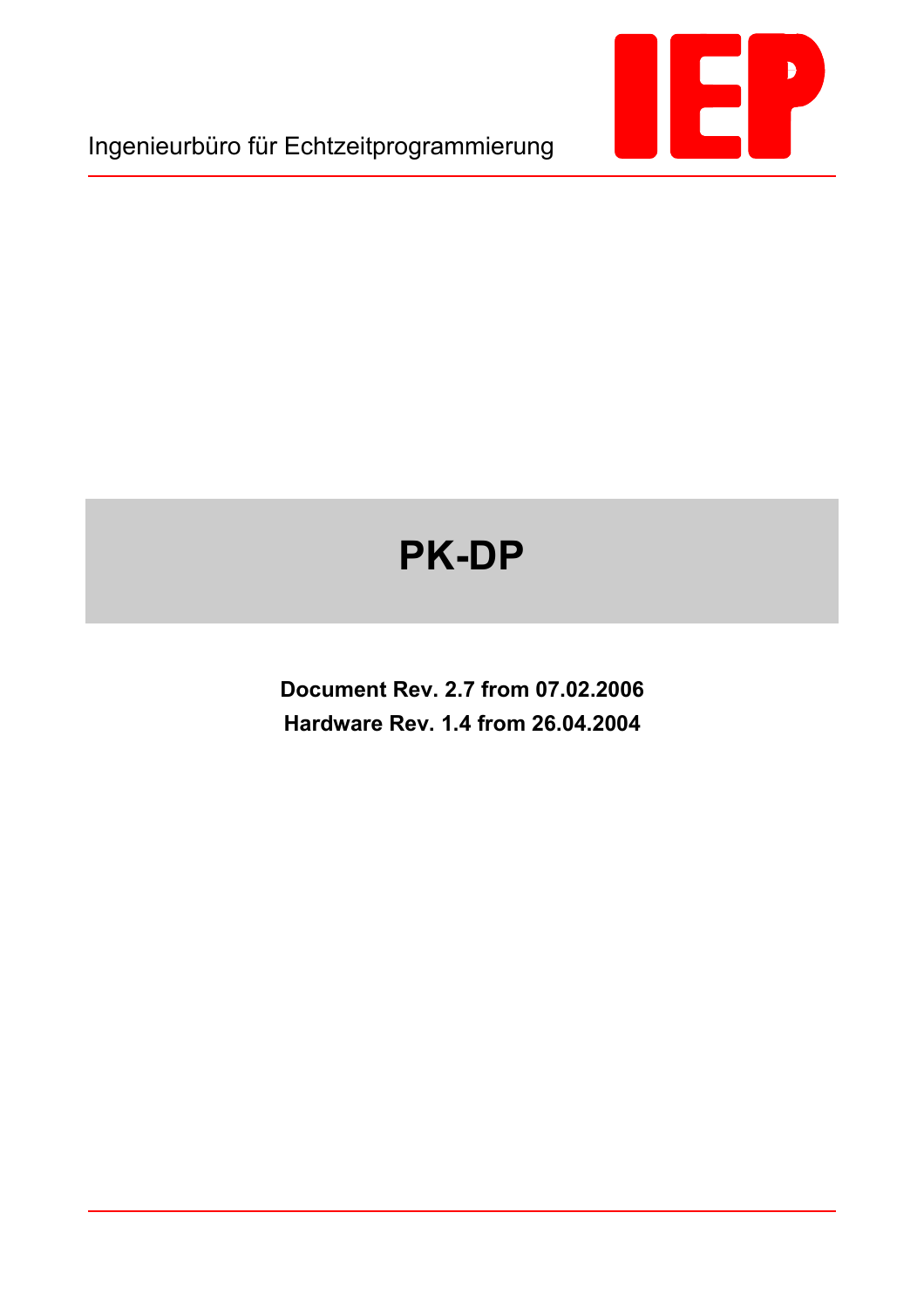

Ingenieurbüro für Echtzeitprogrammierung

# **PK-DP**

**Document Rev. 2.7 from 07.02.2006 Hardware Rev. 1.4 from 26.04.2004**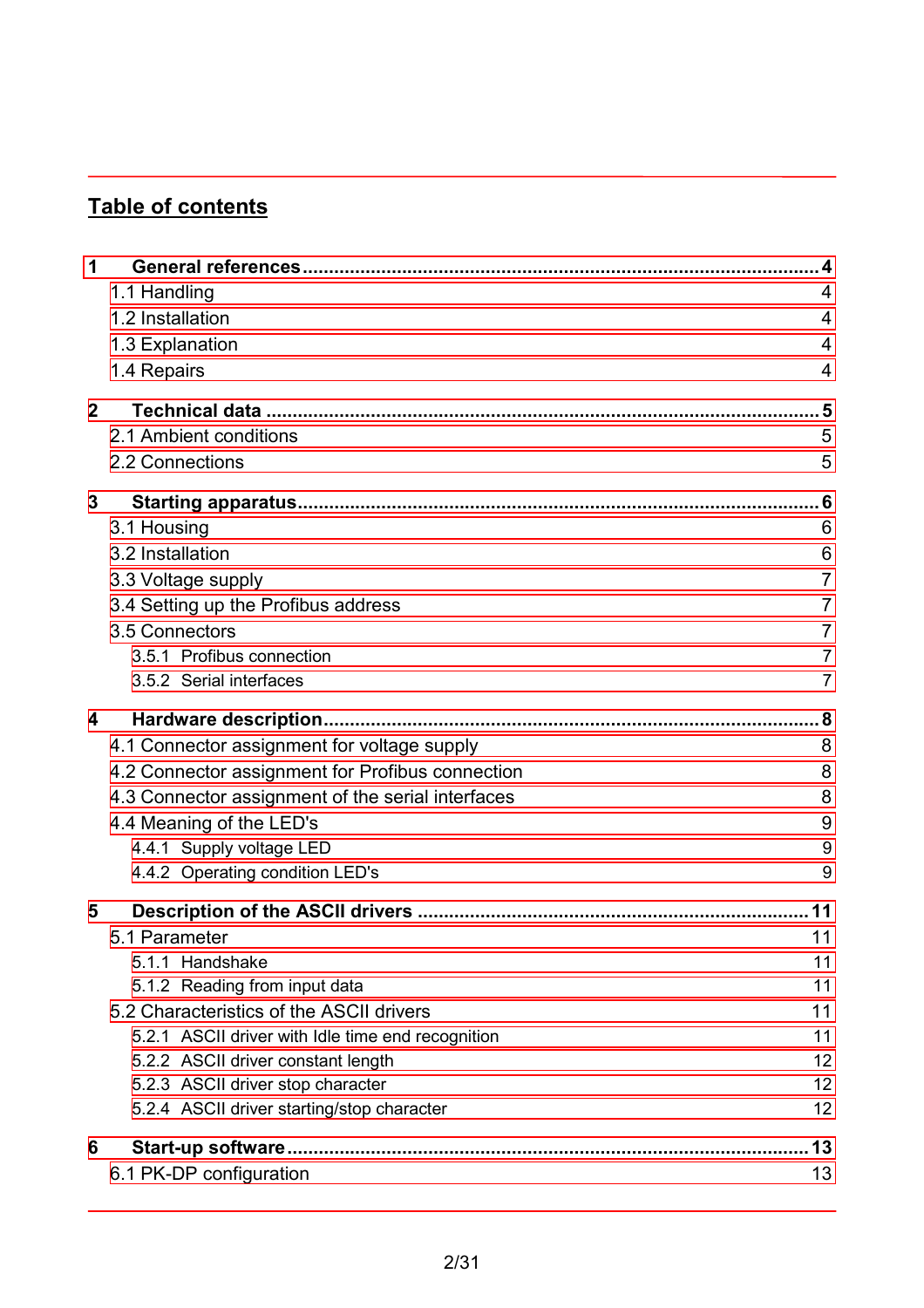# **Table of contents**

| 1            |                                                   |                |
|--------------|---------------------------------------------------|----------------|
|              | 1.1 Handling                                      | 4              |
|              | 1.2 Installation                                  | 4              |
|              | 1.3 Explanation                                   | 4              |
|              | 1.4 Repairs                                       | 4              |
| $\mathbf{2}$ |                                                   |                |
|              | 2.1 Ambient conditions                            | 5              |
|              | 2.2 Connections                                   | 5              |
| 3            |                                                   |                |
|              | 3.1 Housing                                       | 6              |
|              | 3.2 Installation                                  | 6              |
|              | 3.3 Voltage supply                                | $\overline{7}$ |
|              | 3.4 Setting up the Profibus address               | 7              |
|              | 3.5 Connectors                                    | 7              |
|              | 3.5.1 Profibus connection                         | 7              |
|              | 3.5.2 Serial interfaces                           | $\overline{7}$ |
| 4            |                                                   |                |
|              | 4.1 Connector assignment for voltage supply       | 8              |
|              | 4.2 Connector assignment for Profibus connection  | 8              |
|              | 4.3 Connector assignment of the serial interfaces | 8              |
|              | 4.4 Meaning of the LED's                          | 9              |
|              | 4.4.1 Supply voltage LED                          | 9              |
|              | 4.4.2 Operating condition LED's                   | 9              |
| 5            |                                                   |                |
|              | 5.1 Parameter                                     | 11             |
|              | 5.1.1 Handshake                                   | 11             |
|              | 5.1.2 Reading from input data                     | 11             |
|              | 5.2 Characteristics of the ASCII drivers          | 11             |
|              | 5.2.1 ASCII driver with Idle time end recognition | 11             |
|              | 5.2.2 ASCII driver constant length                | 12             |
|              | 5.2.3 ASCII driver stop character                 | 12             |
|              | 5.2.4 ASCII driver starting/stop character        | 12             |
| 6            | Start-up software                                 | 13             |
|              | 6.1 PK-DP configuration                           | 13             |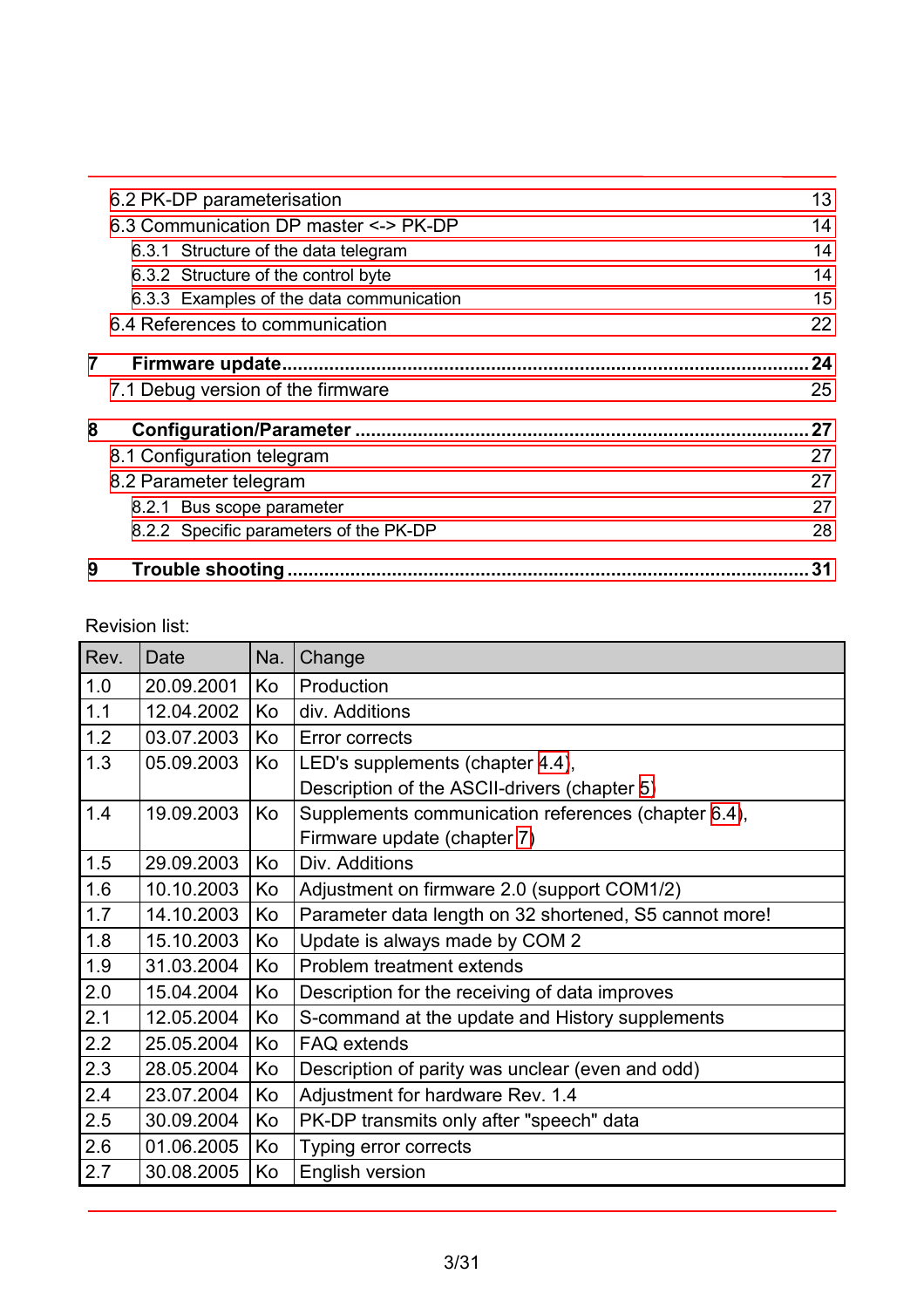| 9              | Trouble shooting                         | 31 |
|----------------|------------------------------------------|----|
|                | 8.2.2 Specific parameters of the PK-DP   | 28 |
|                | 8.2.1 Bus scope parameter                | 27 |
|                | 8.2 Parameter telegram                   | 27 |
|                | 8.1 Configuration telegram               | 27 |
| 8              |                                          | 27 |
|                | 7.1 Debug version of the firmware        | 25 |
| $\overline{7}$ |                                          | 24 |
|                | 6.4 References to communication          | 22 |
|                | 6.3.3 Examples of the data communication | 15 |
|                | 6.3.2 Structure of the control byte      | 14 |
|                | 6.3.1 Structure of the data telegram     | 14 |
|                | 6.3 Communication DP master <-> PK-DP    | 14 |
|                | 6.2 PK-DP parameterisation               | 13 |
|                |                                          |    |

Revision list:

| Rev. | Date       | Na. | Change                                                 |
|------|------------|-----|--------------------------------------------------------|
| 1.0  | 20.09.2001 | Ko  | Production                                             |
| 1.1  | 12.04.2002 | Κo  | div. Additions                                         |
| 1.2  | 03.07.2003 | Ko  | Error corrects                                         |
| 1.3  | 05.09.2003 | Ko  | LED's supplements (chapter 4.4),                       |
|      |            |     | Description of the ASCII-drivers (chapter 5)           |
| 1.4  | 19.09.2003 | Ko  | Supplements communication references (chapter 6.4),    |
|      |            |     | Firmware update (chapter 7)                            |
| 1.5  | 29.09.2003 | Ko  | Div. Additions                                         |
| 1.6  | 10.10.2003 | Ko  | Adjustment on firmware 2.0 (support COM1/2)            |
| 1.7  | 14.10.2003 | Ko  | Parameter data length on 32 shortened, S5 cannot more! |
| 1.8  | 15.10.2003 | Ko  | Update is always made by COM 2                         |
| 1.9  | 31.03.2004 | Ko  | Problem treatment extends                              |
| 2.0  | 15.04.2004 | Ko  | Description for the receiving of data improves         |
| 2.1  | 12.05.2004 | Ko  | S-command at the update and History supplements        |
| 2.2  | 25.05.2004 | Ko  | <b>FAQ</b> extends                                     |
| 2.3  | 28.05.2004 | Ko  | Description of parity was unclear (even and odd)       |
| 2.4  | 23.07.2004 | Ko  | Adjustment for hardware Rev. 1.4                       |
| 2.5  | 30.09.2004 | Ko  | PK-DP transmits only after "speech" data               |
| 2.6  | 01.06.2005 | Ko  | Typing error corrects                                  |
| 2.7  | 30.08.2005 | Ko  | English version                                        |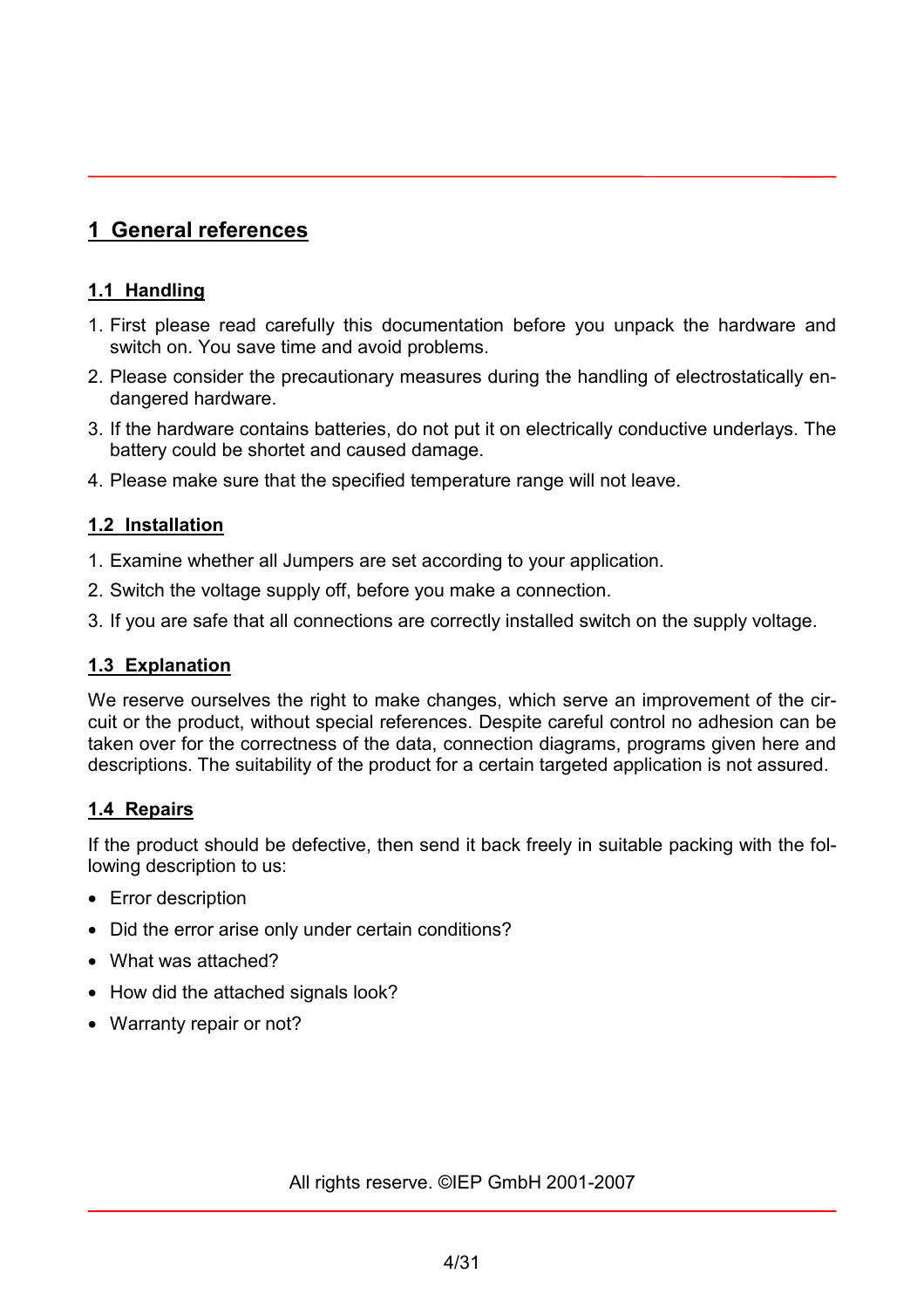# <span id="page-3-0"></span>**1 General references**

#### **1.1 Handling**

- 1. First please read carefully this documentation before you unpack the hardware and switch on. You save time and avoid problems.
- 2. Please consider the precautionary measures during the handling of electrostatically endangered hardware.
- 3. If the hardware contains batteries, do not put it on electrically conductive underlays. The battery could be shortet and caused damage.
- 4. Please make sure that the specified temperature range will not leave.

#### **1.2 Installation**

- 1. Examine whether all Jumpers are set according to your application.
- 2. Switch the voltage supply off, before you make a connection.
- 3. If you are safe that all connections are correctly installed switch on the supply voltage.

#### **1.3 Explanation**

We reserve ourselves the right to make changes, which serve an improvement of the circuit or the product, without special references. Despite careful control no adhesion can be taken over for the correctness of the data, connection diagrams, programs given here and descriptions. The suitability of the product for a certain targeted application is not assured.

#### **1.4 Repairs**

If the product should be defective, then send it back freely in suitable packing with the following description to us:

- Error description
- Did the error arise only under certain conditions?
- What was attached?
- How did the attached signals look?
- Warranty repair or not?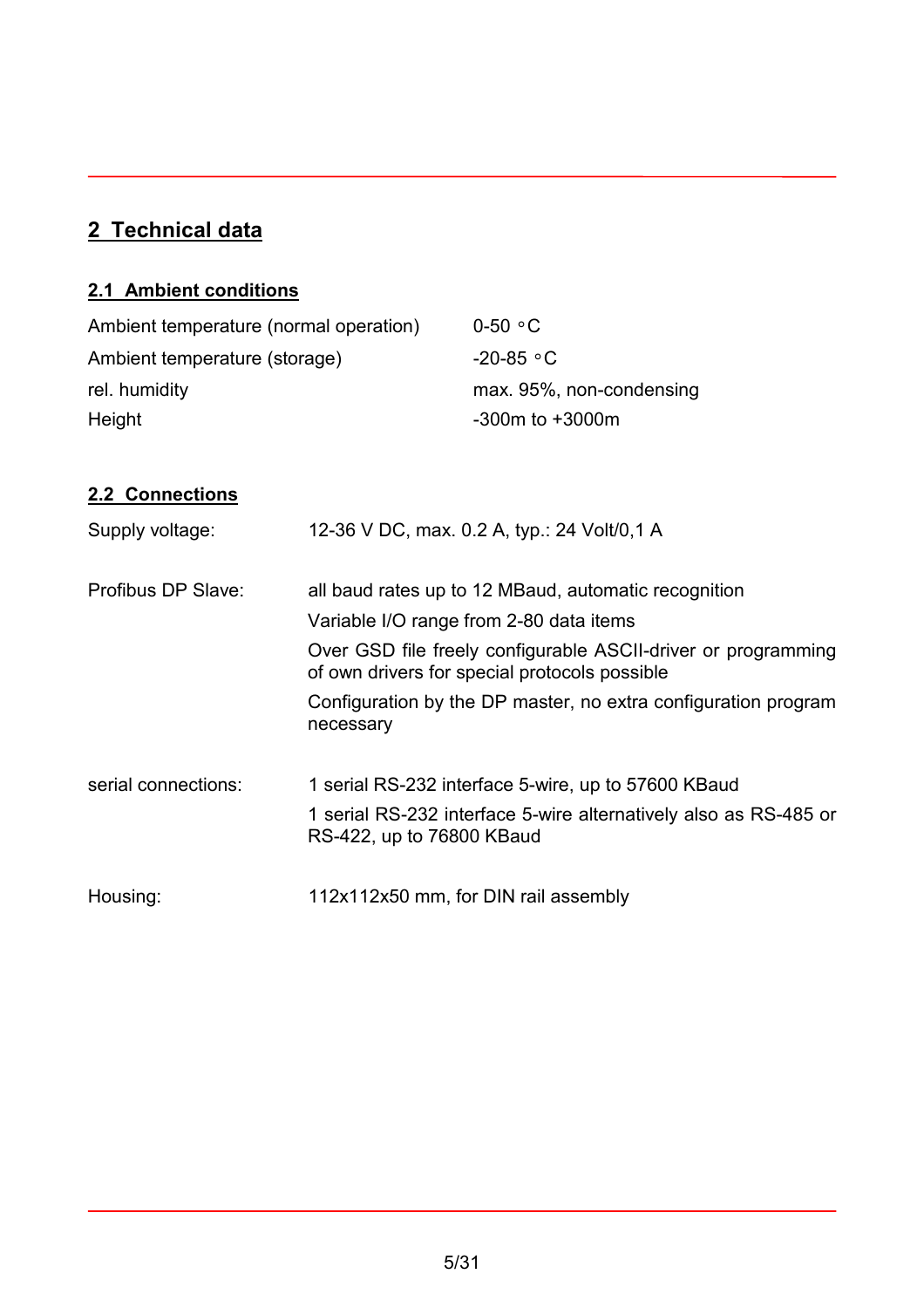# <span id="page-4-0"></span>**2 Technical data**

# **2.1 Ambient conditions**

| Ambient temperature (normal operation) | $0-50 °C$                |
|----------------------------------------|--------------------------|
| Ambient temperature (storage)          | -20-85 $\circ$ C         |
| rel. humidity                          | max. 95%, non-condensing |
| Height                                 | $-300m$ to $+3000m$      |

## **2.2 Connections**

| Supply voltage:     | 12-36 V DC, max. 0.2 A, typ.: 24 Volt/0,1 A                                                                                                                      |
|---------------------|------------------------------------------------------------------------------------------------------------------------------------------------------------------|
| Profibus DP Slave:  | all baud rates up to 12 MBaud, automatic recognition<br>Variable I/O range from 2-80 data items<br>Over GSD file freely configurable ASCII-driver or programming |
|                     | of own drivers for special protocols possible<br>Configuration by the DP master, no extra configuration program<br>necessary                                     |
| serial connections: | 1 serial RS-232 interface 5-wire, up to 57600 KBaud<br>1 serial RS-232 interface 5-wire alternatively also as RS-485 or<br>RS-422, up to 76800 KBaud             |
| Housing:            | 112x112x50 mm, for DIN rail assembly                                                                                                                             |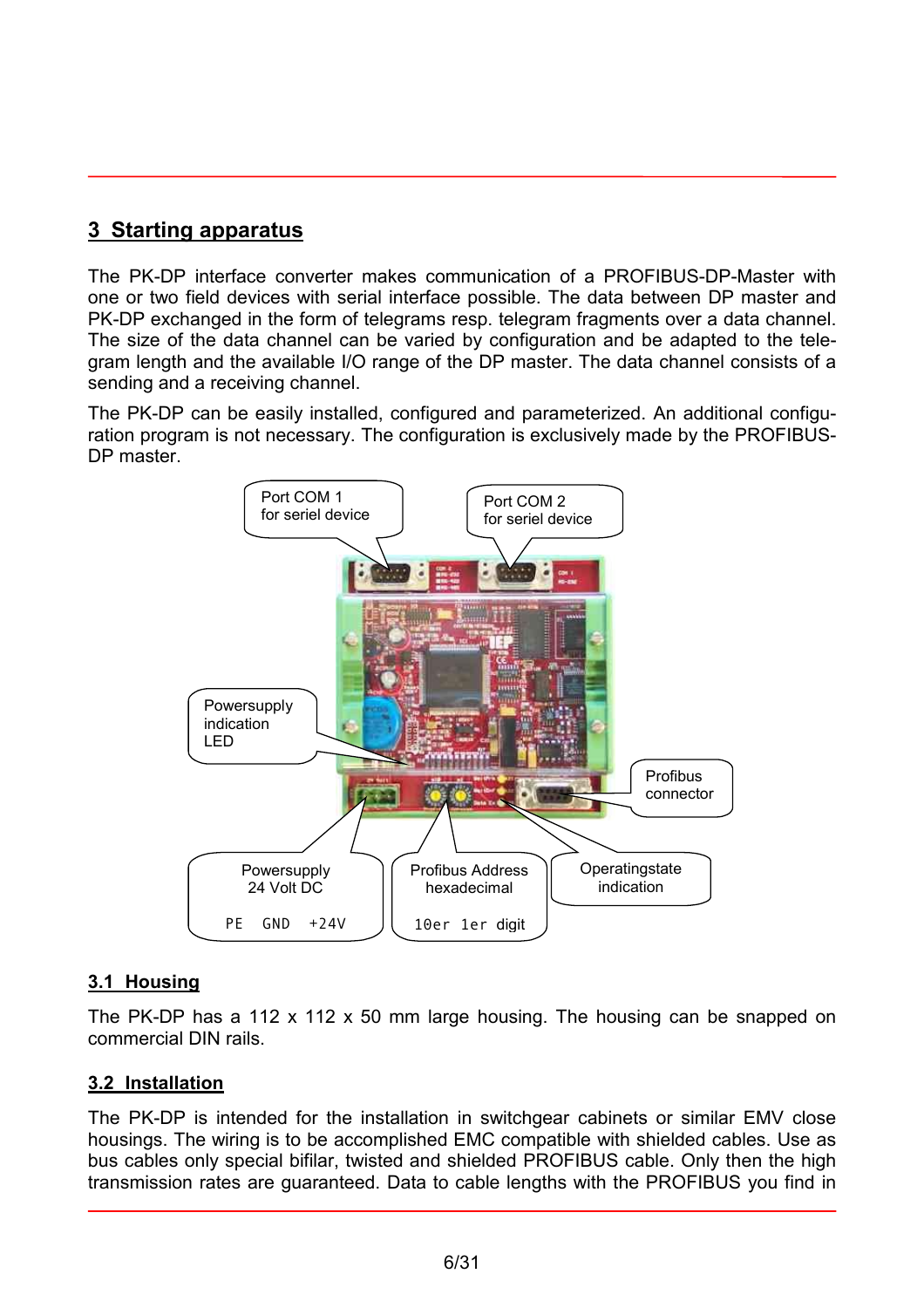## <span id="page-5-0"></span>**3 Starting apparatus**

The PK-DP interface converter makes communication of a PROFIBUS-DP-Master with one or two field devices with serial interface possible. The data between DP master and PK-DP exchanged in the form of telegrams resp. telegram fragments over a data channel. The size of the data channel can be varied by configuration and be adapted to the telegram length and the available I/O range of the DP master. The data channel consists of a sending and a receiving channel.

The PK-DP can be easily installed, configured and parameterized. An additional configuration program is not necessary. The configuration is exclusively made by the PROFIBUS-DP master.



#### **3.1 Housing**

The PK-DP has a 112 x 112 x 50 mm large housing. The housing can be snapped on commercial DIN rails.

#### **3.2 Installation**

The PK-DP is intended for the installation in switchgear cabinets or similar EMV close housings. The wiring is to be accomplished EMC compatible with shielded cables. Use as bus cables only special bifilar, twisted and shielded PROFIBUS cable. Only then the high transmission rates are guaranteed. Data to cable lengths with the PROFIBUS you find in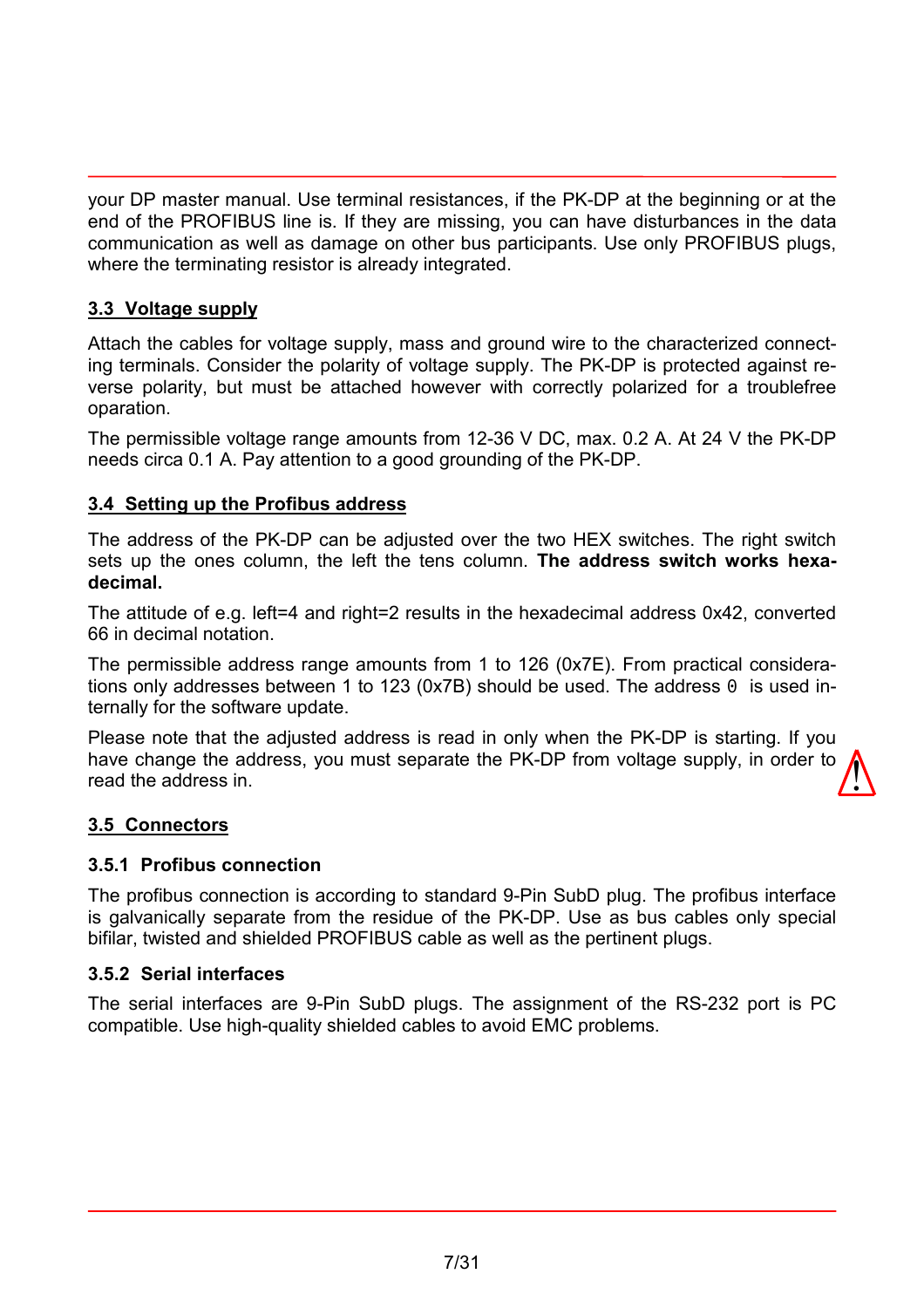<span id="page-6-0"></span>your DP master manual. Use terminal resistances, if the PK-DP at the beginning or at the end of the PROFIBUS line is. If they are missing, you can have disturbances in the data communication as well as damage on other bus participants. Use only PROFIBUS plugs, where the terminating resistor is already integrated.

#### **3.3 Voltage supply**

Attach the cables for voltage supply, mass and ground wire to the characterized connecting terminals. Consider the polarity of voltage supply. The PK-DP is protected against reverse polarity, but must be attached however with correctly polarized for a troublefree oparation.

The permissible voltage range amounts from 12-36 V DC, max. 0.2 A. At 24 V the PK-DP needs circa 0.1 A. Pay attention to a good grounding of the PK-DP.

#### **3.4 Setting up the Profibus address**

The address of the PK-DP can be adjusted over the two HEX switches. The right switch sets up the ones column, the left the tens column. **The address switch works hexadecimal.**

The attitude of e.g. left=4 and right=2 results in the hexadecimal address 0x42, converted 66 in decimal notation.

The permissible address range amounts from 1 to 126 (0x7E). From practical considerations only addresses between 1 to 123 (0x7B) should be used. The address 0 is used internally for the software update.

Please note that the adjusted address is read in only when the PK-DP is starting. If you have change the address, you must separate the PK-DP from voltage supply, in order to read the address in.  $\sqrt{\frac{1}{2}}$ 

#### **3.5 Connectors**

#### **3.5.1 Profibus connection**

The profibus connection is according to standard 9-Pin SubD plug. The profibus interface is galvanically separate from the residue of the PK-DP. Use as bus cables only special bifilar, twisted and shielded PROFIBUS cable as well as the pertinent plugs.

#### **3.5.2 Serial interfaces**

The serial interfaces are 9-Pin SubD plugs. The assignment of the RS-232 port is PC compatible. Use high-quality shielded cables to avoid EMC problems.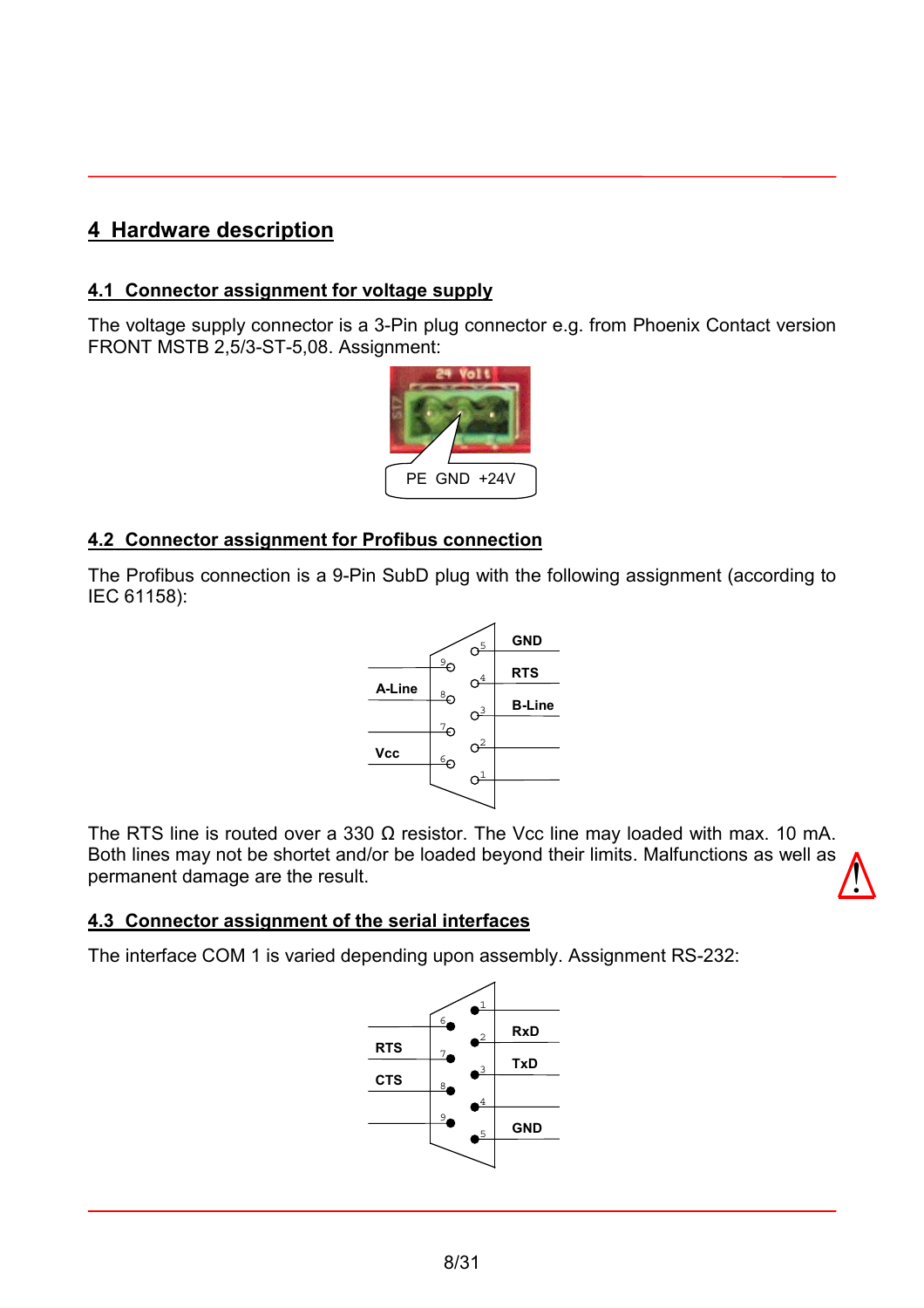# <span id="page-7-0"></span>**4 Hardware description**

#### **4.1 Connector assignment for voltage supply**

The voltage supply connector is a 3-Pin plug connector e.g. from Phoenix Contact version FRONT MSTB 2,5/3-ST-5,08. Assignment:



#### **4.2 Connector assignment for Profibus connection**

The Profibus connection is a 9-Pin SubD plug with the following assignment (according to IEC 61158):



The RTS line is routed over a 330  $\Omega$  resistor. The Vcc line may loaded with max. 10 mA. Both lines may not be shortet and/or be loaded beyond their limits. Malfunctions as well as permanent damage are the result.  $\sqrt{\frac{1}{2}}$ 

#### **4.3 Connector assignment of the serial interfaces**

The interface COM 1 is varied depending upon assembly. Assignment RS-232:

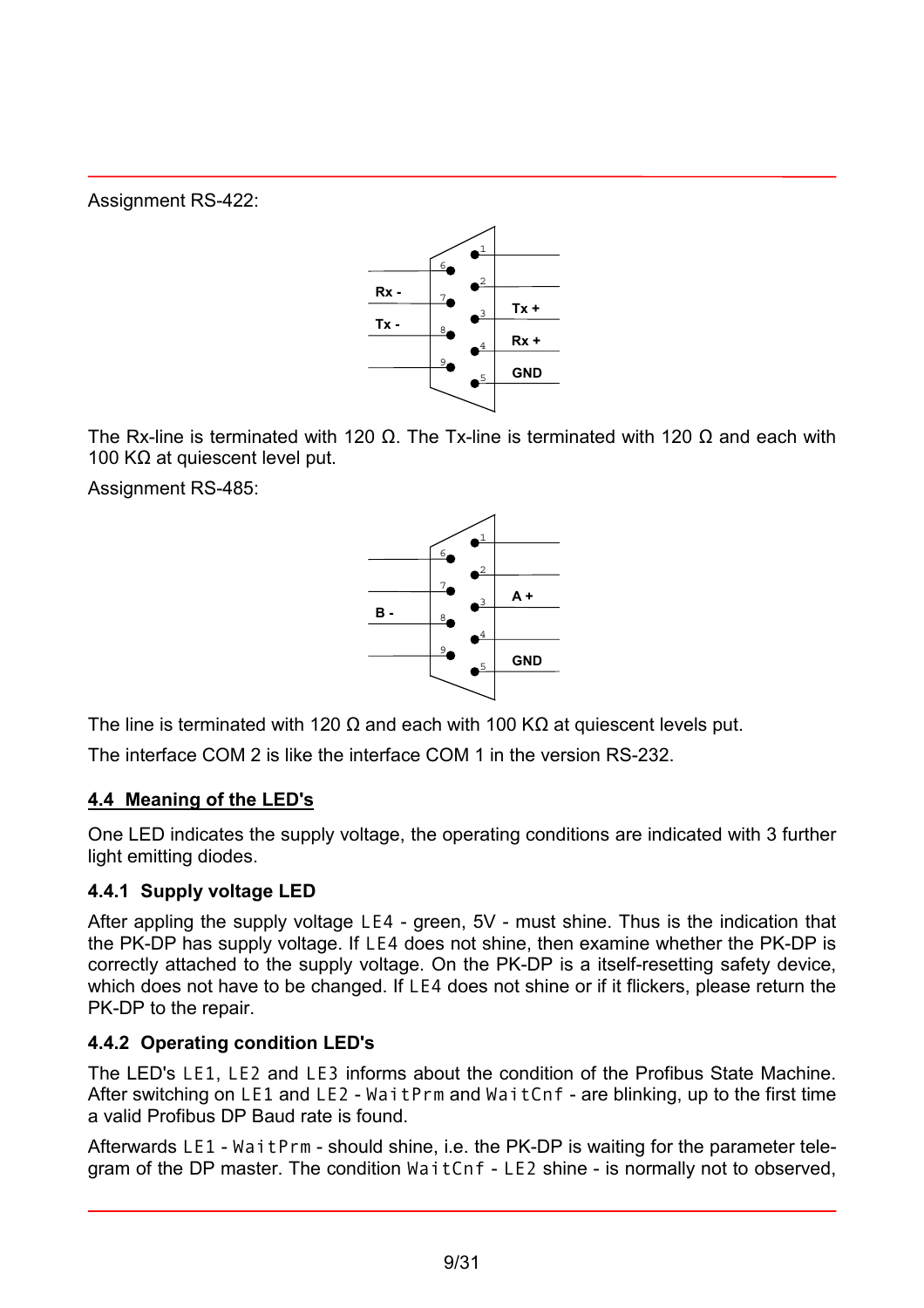<span id="page-8-0"></span>Assignment RS-422:



The Rx-line is terminated with 120  $\Omega$ . The Tx-line is terminated with 120  $\Omega$  and each with 100 KΩ at quiescent level put.

Assignment RS-485:



The line is terminated with 120  $\Omega$  and each with 100 K $\Omega$  at quiescent levels put.

The interface COM 2 is like the interface COM 1 in the version RS-232.

## **4.4 Meaning of the LED's**

One LED indicates the supply voltage, the operating conditions are indicated with 3 further light emitting diodes.

## **4.4.1 Supply voltage LED**

After appling the supply voltage LE4 - green, 5V - must shine. Thus is the indication that the PK-DP has supply voltage. If LE4 does not shine, then examine whether the PK-DP is correctly attached to the supply voltage. On the PK-DP is a itself-resetting safety device, which does not have to be changed. If LE4 does not shine or if it flickers, please return the PK-DP to the repair.

## **4.4.2 Operating condition LED's**

The LED's LE1, LE2 and LE3 informs about the condition of the Profibus State Machine. After switching on LE1 and LE2 - WaitPrm and WaitCnf - are blinking, up to the first time a valid Profibus DP Baud rate is found.

Afterwards LE1 - WaitPrm - should shine, i.e. the PK-DP is waiting for the parameter telegram of the DP master. The condition WaitCnf - LE2 shine - is normally not to observed,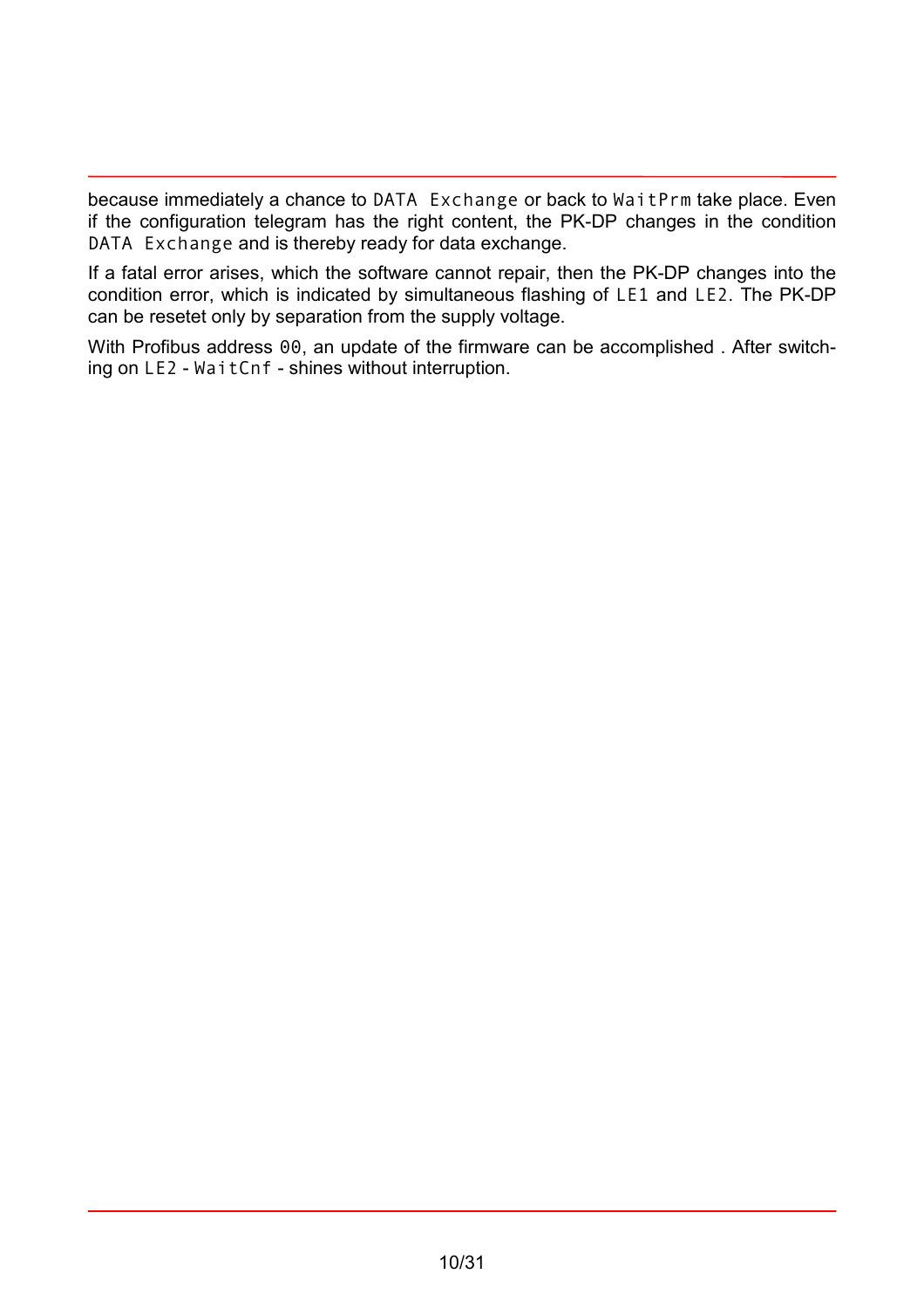because immediately a chance to DATA Exchange or back to WaitPrm take place. Even if the configuration telegram has the right content, the PK-DP changes in the condition DATA Exchange and is thereby ready for data exchange.

If a fatal error arises, which the software cannot repair, then the PK-DP changes into the condition error, which is indicated by simultaneous flashing of LE1 and LE2. The PK-DP can be resetet only by separation from the supply voltage.

With Profibus address 00, an update of the firmware can be accomplished. After switching on LE2 - WaitCnf - shines without interruption.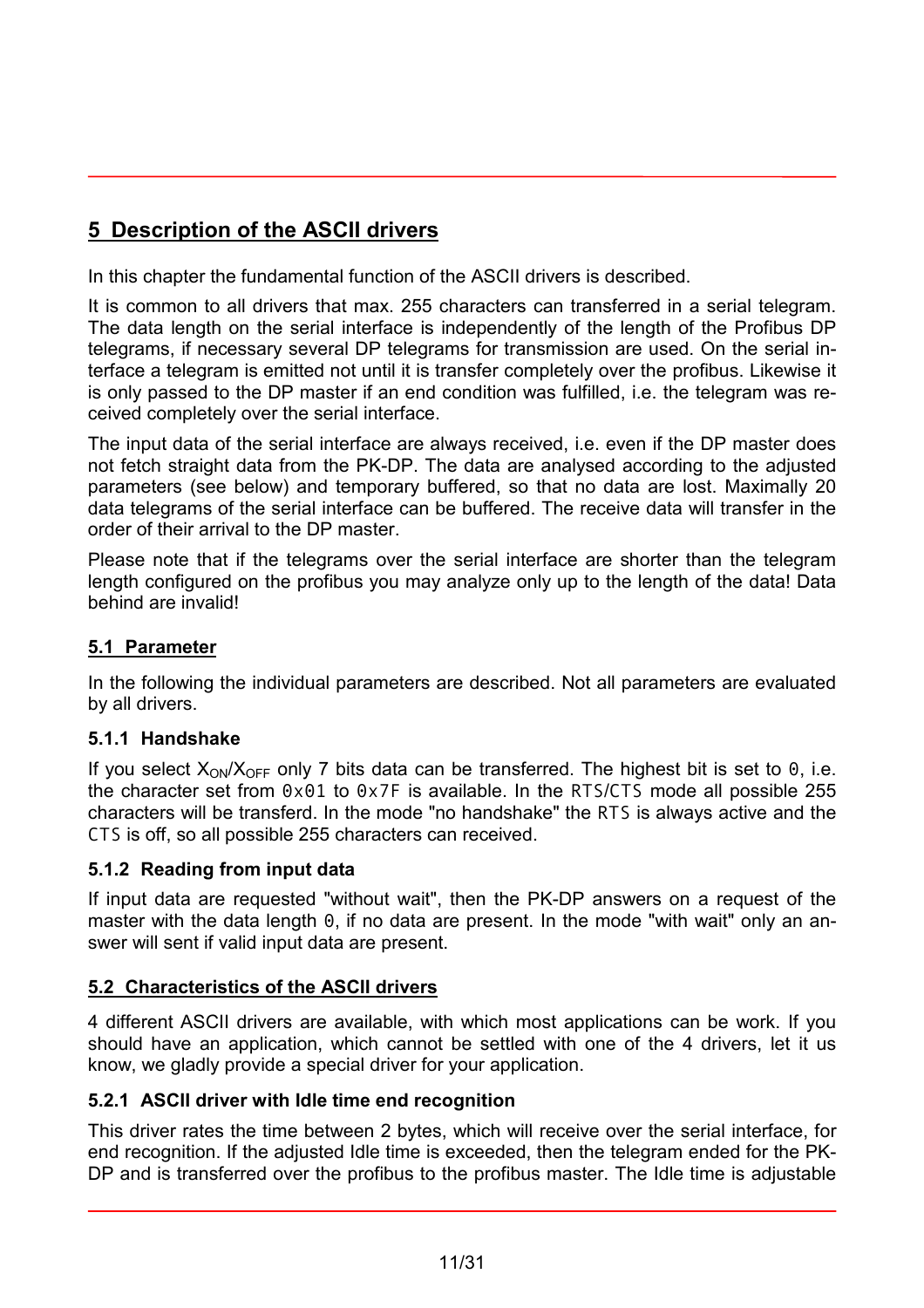<span id="page-10-0"></span>In this chapter the fundamental function of the ASCII drivers is described.

It is common to all drivers that max. 255 characters can transferred in a serial telegram. The data length on the serial interface is independently of the length of the Profibus DP telegrams, if necessary several DP telegrams for transmission are used. On the serial interface a telegram is emitted not until it is transfer completely over the profibus. Likewise it is only passed to the DP master if an end condition was fulfilled, i.e. the telegram was received completely over the serial interface.

The input data of the serial interface are always received, i.e. even if the DP master does not fetch straight data from the PK-DP. The data are analysed according to the adjusted parameters (see below) and temporary buffered, so that no data are lost. Maximally 20 data telegrams of the serial interface can be buffered. The receive data will transfer in the order of their arrival to the DP master.

Please note that if the telegrams over the serial interface are shorter than the telegram length configured on the profibus you may analyze only up to the length of the data! Data behind are invalid!

## **5.1 Parameter**

In the following the individual parameters are described. Not all parameters are evaluated by all drivers.

#### **5.1.1 Handshake**

If you select  $X_{ON}/X_{OFF}$  only 7 bits data can be transferred. The highest bit is set to 0, i.e. the character set from 0x01 to 0x7F is available. In the RTS/CTS mode all possible 255 characters will be transferd. In the mode "no handshake" the RTS is always active and the CTS is off, so all possible 255 characters can received.

#### **5.1.2 Reading from input data**

If input data are requested "without wait", then the PK-DP answers on a request of the master with the data length 0, if no data are present. In the mode "with wait" only an answer will sent if valid input data are present.

## **5.2 Characteristics of the ASCII drivers**

4 different ASCII drivers are available, with which most applications can be work. If you should have an application, which cannot be settled with one of the 4 drivers, let it us know, we gladly provide a special driver for your application.

#### **5.2.1 ASCII driver with Idle time end recognition**

This driver rates the time between 2 bytes, which will receive over the serial interface, for end recognition. If the adjusted Idle time is exceeded, then the telegram ended for the PK-DP and is transferred over the profibus to the profibus master. The Idle time is adjustable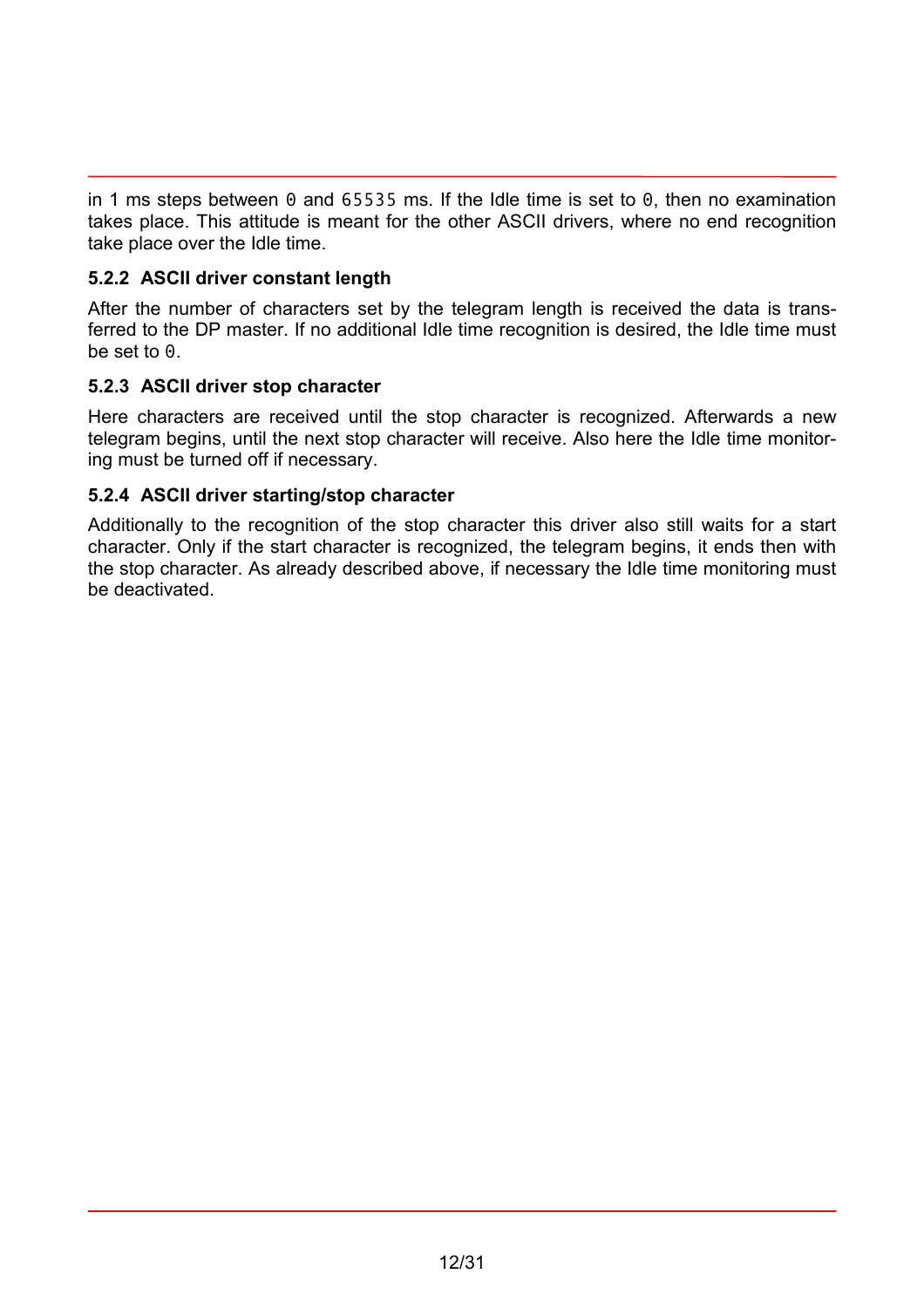<span id="page-11-0"></span>in 1 ms steps between 0 and 65535 ms. If the Idle time is set to 0, then no examination takes place. This attitude is meant for the other ASCII drivers, where no end recognition take place over the Idle time.

#### **5.2.2 ASCII driver constant length**

After the number of characters set by the telegram length is received the data is transferred to the DP master. If no additional Idle time recognition is desired, the Idle time must be set to 0.

#### **5.2.3 ASCII driver stop character**

Here characters are received until the stop character is recognized. Afterwards a new telegram begins, until the next stop character will receive. Also here the Idle time monitoring must be turned off if necessary.

#### **5.2.4 ASCII driver starting/stop character**

Additionally to the recognition of the stop character this driver also still waits for a start character. Only if the start character is recognized, the telegram begins, it ends then with the stop character. As already described above, if necessary the Idle time monitoring must be deactivated.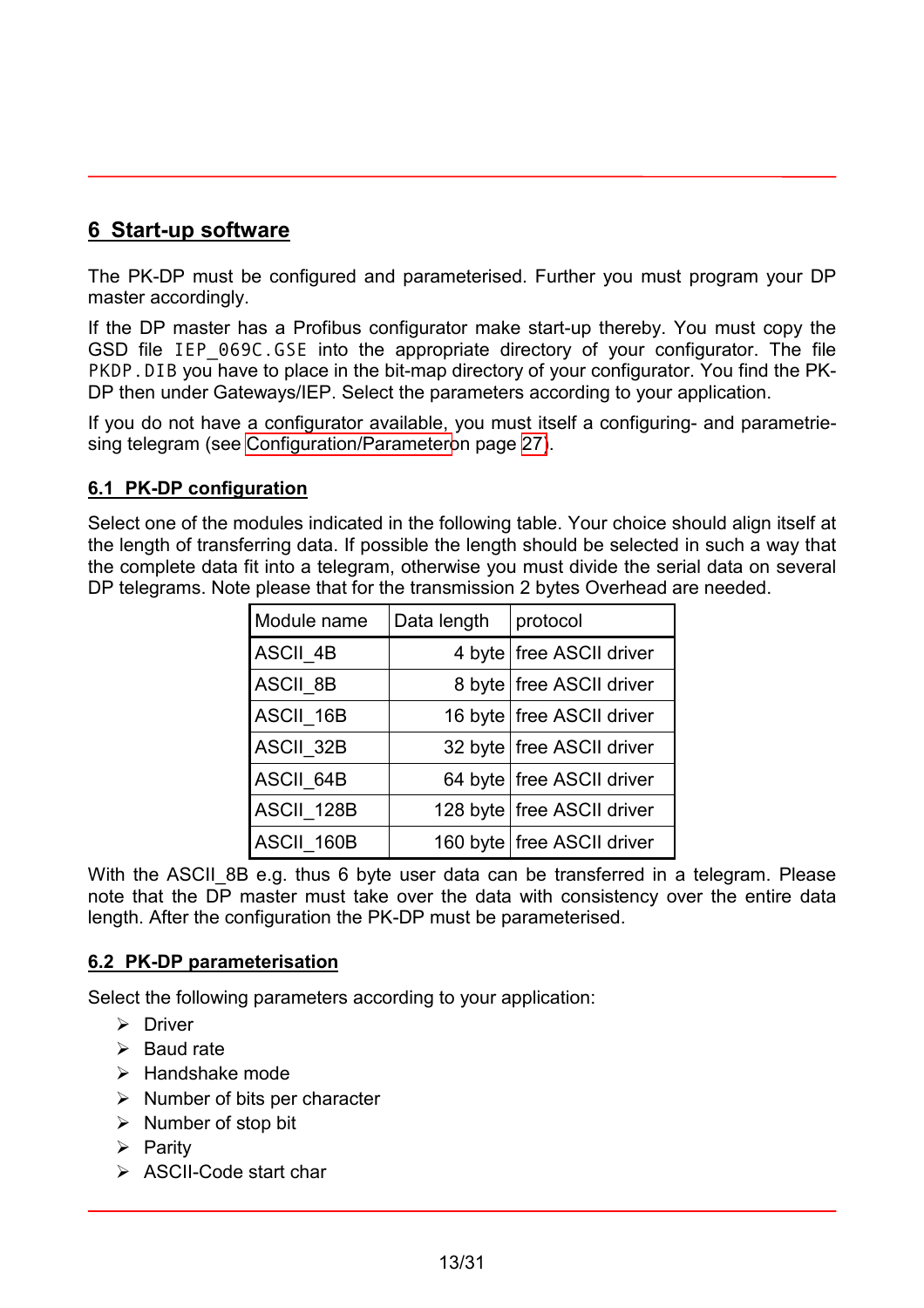## <span id="page-12-0"></span>**6 Start-up software**

The PK-DP must be configured and parameterised. Further you must program your DP master accordingly.

If the DP master has a Profibus configurator make start-up thereby. You must copy the GSD file IEP 069C.GSE into the appropriate directory of your configurator. The file PKDP. DIB you have to place in the bit-map directory of your configurator. You find the PK-DP then under Gateways/IEP. Select the parameters according to your application.

If you do not have a configurator available, you must itself a configuring- and parametriesing telegram (see [Configuration/Parametero](#page-26-0)n page [27\)](#page-26-0).

#### **6.1 PK-DP configuration**

Select one of the modules indicated in the following table. Your choice should align itself at the length of transferring data. If possible the length should be selected in such a way that the complete data fit into a telegram, otherwise you must divide the serial data on several DP telegrams. Note please that for the transmission 2 bytes Overhead are needed.

| Module name     | Data length | protocol                     |
|-----------------|-------------|------------------------------|
| ASCII_4B        |             | 4 byte free ASCII driver     |
| <b>ASCII 8B</b> |             | 8 byte   free ASCII driver   |
| ASCII 16B       |             | 16 byte   free ASCII driver  |
| ASCII_32B       |             | 32 byte   free ASCII driver  |
| ASCII 64B       |             | 64 byte   free ASCII driver  |
| ASCII 128B      |             | 128 byte   free ASCII driver |
| ASCII 160B      |             | 160 byte   free ASCII driver |

With the ASCII\_8B e.g. thus 6 byte user data can be transferred in a telegram. Please note that the DP master must take over the data with consistency over the entire data length. After the configuration the PK-DP must be parameterised.

#### **6.2 PK-DP parameterisation**

Select the following parameters according to your application:

- $\triangleright$  Driver
- $\triangleright$  Baud rate
- $\triangleright$  Handshake mode
- $\triangleright$  Number of bits per character
- $\triangleright$  Number of stop bit
- $\triangleright$  Parity
- $\triangleright$  ASCII-Code start char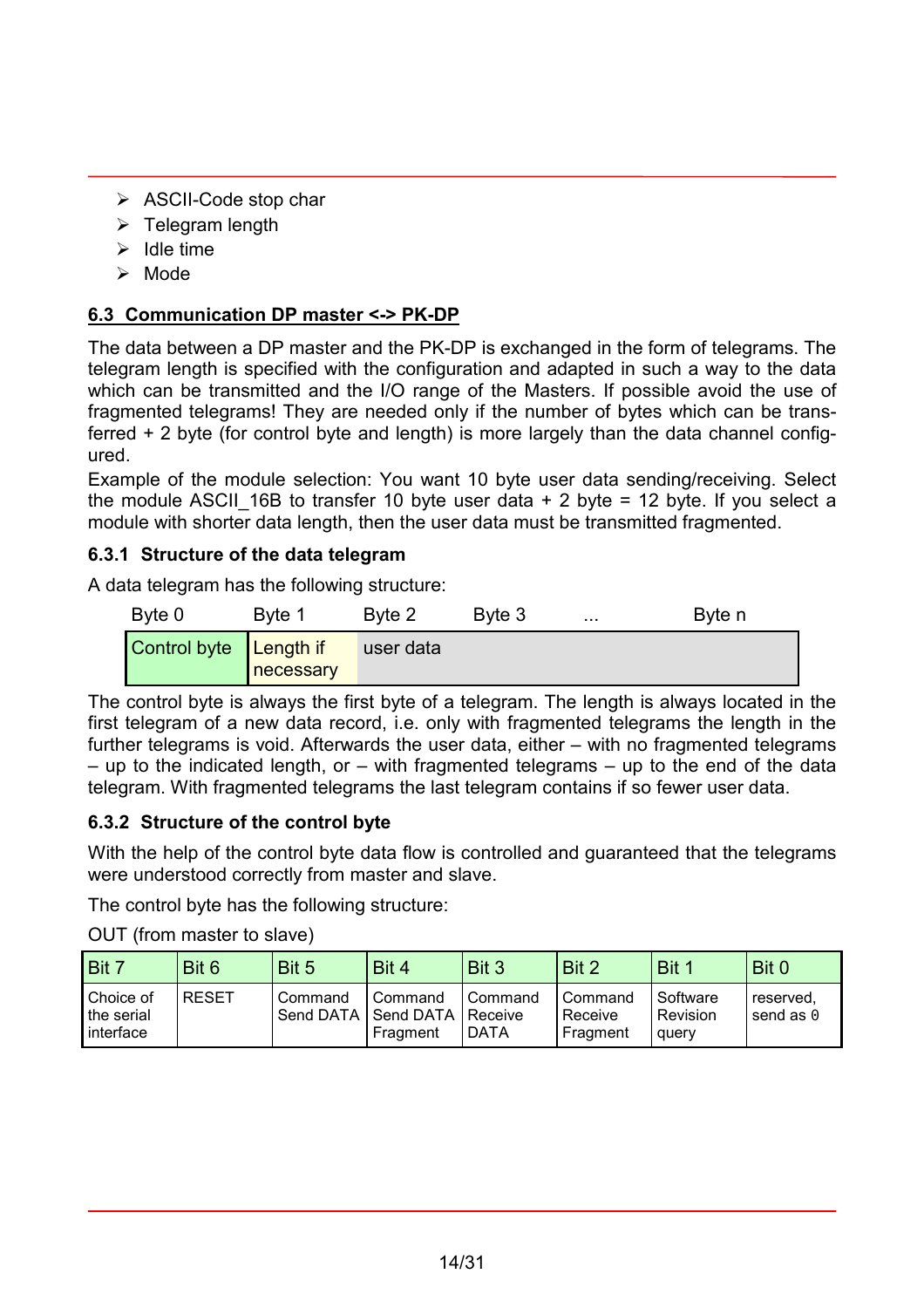- <span id="page-13-0"></span>¾ ASCII-Code stop char
- $\triangleright$  Telegram length
- $\blacktriangleright$  Idle time
- $\triangleright$  Mode

#### **6.3 Communication DP master <-> PK-DP**

The data between a DP master and the PK-DP is exchanged in the form of telegrams. The telegram length is specified with the configuration and adapted in such a way to the data which can be transmitted and the I/O range of the Masters. If possible avoid the use of fragmented telegrams! They are needed only if the number of bytes which can be transferred + 2 byte (for control byte and length) is more largely than the data channel configured.

Example of the module selection: You want 10 byte user data sending/receiving. Select the module ASCII 16B to transfer 10 byte user data  $+ 2$  byte = 12 byte. If you select a module with shorter data length, then the user data must be transmitted fragmented.

#### **6.3.1 Structure of the data telegram**

A data telegram has the following structure:

| Byte 0                 | Byte 1    | Byte 2    | Byte 3 | $\sim 0.00$ | Byte n |
|------------------------|-----------|-----------|--------|-------------|--------|
| Control byte Length if | necessary | user data |        |             |        |

The control byte is always the first byte of a telegram. The length is always located in the first telegram of a new data record, i.e. only with fragmented telegrams the length in the further telegrams is void. Afterwards the user data, either – with no fragmented telegrams  $-$  up to the indicated length, or  $-$  with fragmented telegrams  $-$  up to the end of the data telegram. With fragmented telegrams the last telegram contains if so fewer user data.

#### **6.3.2 Structure of the control byte**

With the help of the control byte data flow is controlled and guaranteed that the telegrams were understood correctly from master and slave.

The control byte has the following structure:

OUT (from master to slave)

| Bit 7                                    | Bit 6        | Bit 5   | Bit 4                                                  | Bit 3           | Bit 2                          | Bit 1                         | Bit 0                         |
|------------------------------------------|--------------|---------|--------------------------------------------------------|-----------------|--------------------------------|-------------------------------|-------------------------------|
| Choice of<br>I the serial<br>I interface | <b>RESET</b> | Command | Command<br>Send DATA   Send DATA   Receive<br>Fragment | Command<br>DATA | Command<br>Receive<br>Fragment | Software<br>Revision<br>query | reserved,<br>send as $\theta$ |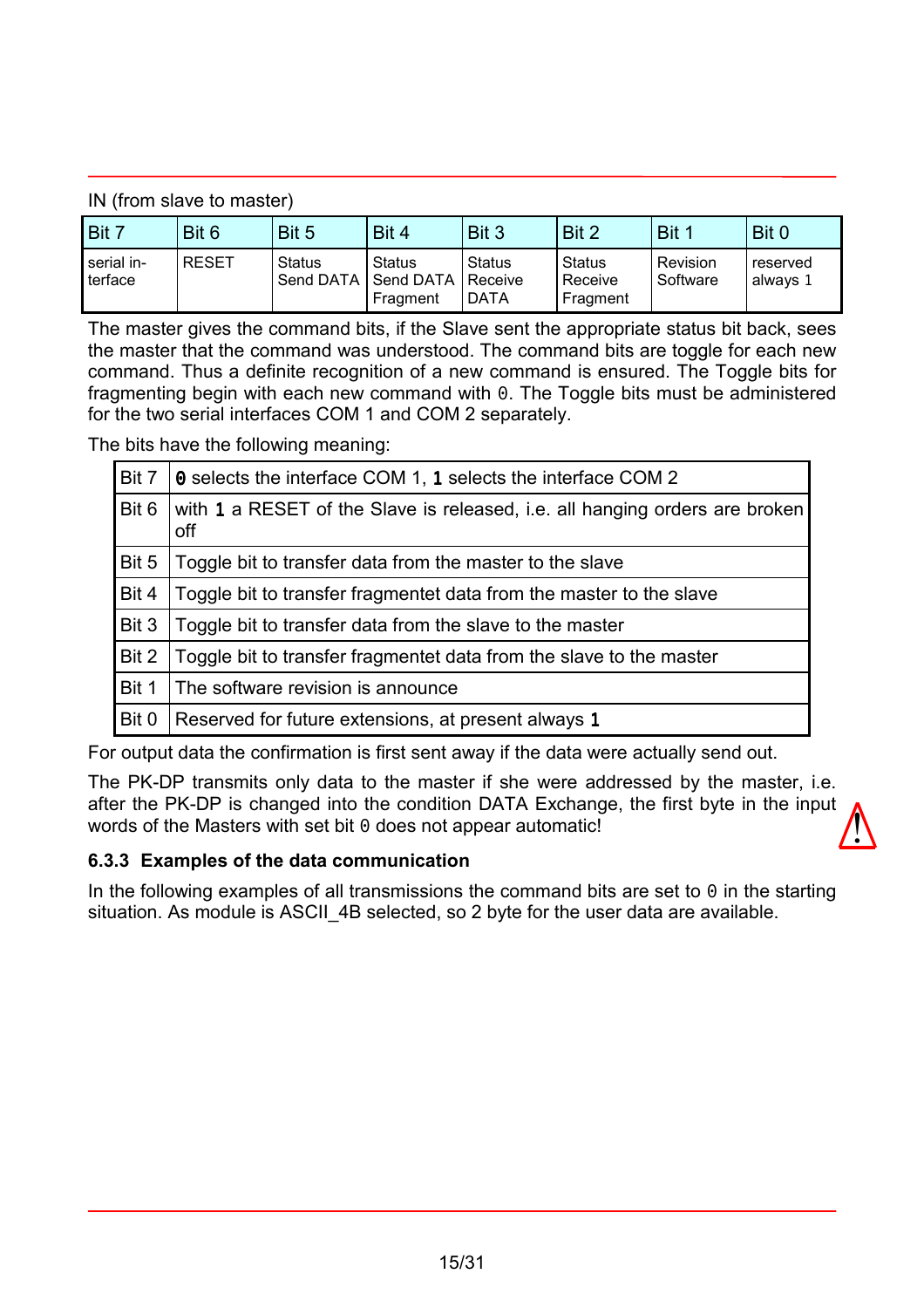<span id="page-14-0"></span>IN (from slave to master)

| Bit 7                 | Bit 6        | Bit 5  | Bit 4                                                        | Bit 3              | Bit 2                         | Bit 1                | Bit 0                |
|-----------------------|--------------|--------|--------------------------------------------------------------|--------------------|-------------------------------|----------------------|----------------------|
| serial in-<br>terface | <b>RESET</b> | Status | <b>Status</b><br>Send DATA   Send DATA   Receive<br>Fragment | l Status<br>I DATA | Status<br>Receive<br>Fragment | Revision<br>Software | reserved<br>always 1 |

The master gives the command bits, if the Slave sent the appropriate status bit back, sees the master that the command was understood. The command bits are toggle for each new command. Thus a definite recognition of a new command is ensured. The Toggle bits for fragmenting begin with each new command with 0. The Toggle bits must be administered for the two serial interfaces COM 1 and COM 2 separately.

The bits have the following meaning:

| Bit 7 | <b>Q</b> selects the interface COM 1, 1 selects the interface COM 2                |
|-------|------------------------------------------------------------------------------------|
| Bit 6 | with 1 a RESET of the Slave is released, i.e. all hanging orders are broken<br>off |
| Bit 5 | Toggle bit to transfer data from the master to the slave                           |
| Bit 4 | Toggle bit to transfer fragmentet data from the master to the slave                |
| Bit 3 | Toggle bit to transfer data from the slave to the master                           |
| Bit 2 | Toggle bit to transfer fragmentet data from the slave to the master                |
| Bit 1 | The software revision is announce                                                  |
| Bit 0 | Reserved for future extensions, at present always 1                                |

For output data the confirmation is first sent away if the data were actually send out.

The PK-DP transmits only data to the master if she were addressed by the master, i.e. after the PK-DP is changed into the condition DATA Exchange, the first byte in the input words of the Masters with set bit 0 does not appear automatic!  $\sqrt{\frac{1}{2}}$ 

#### **6.3.3 Examples of the data communication**

In the following examples of all transmissions the command bits are set to  $\theta$  in the starting situation. As module is ASCII 4B selected, so 2 byte for the user data are available.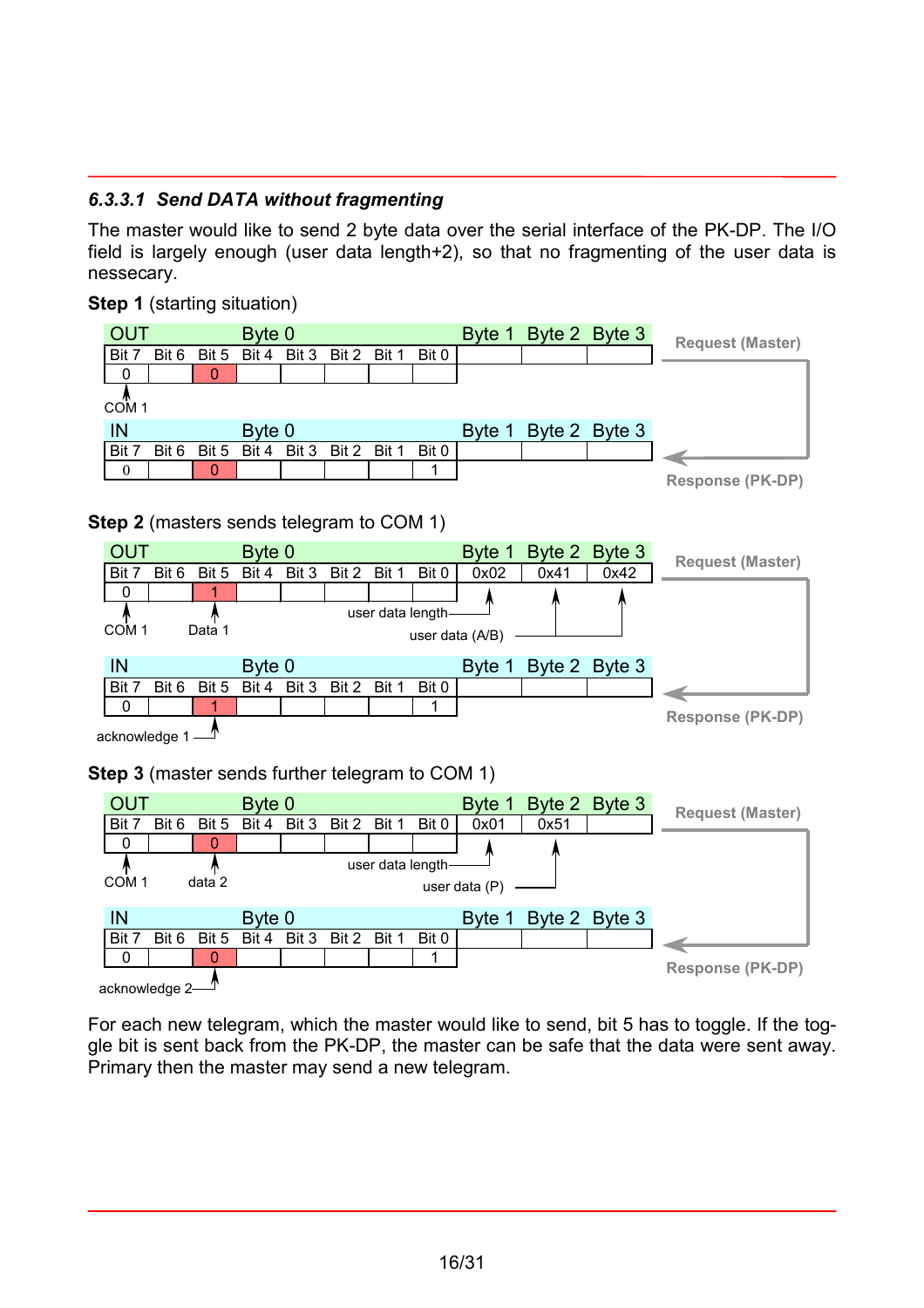#### *6.3.3.1 Send DATA without fragmenting*

The master would like to send 2 byte data over the serial interface of the PK-DP. The I/O field is largely enough (user data length+2), so that no fragmenting of the user data is nessecary.

#### **Step 1** (starting situation)



For each new telegram, which the master would like to send, bit 5 has to toggle. If the toggle bit is sent back from the PK-DP, the master can be safe that the data were sent away. Primary then the master may send a new telegram.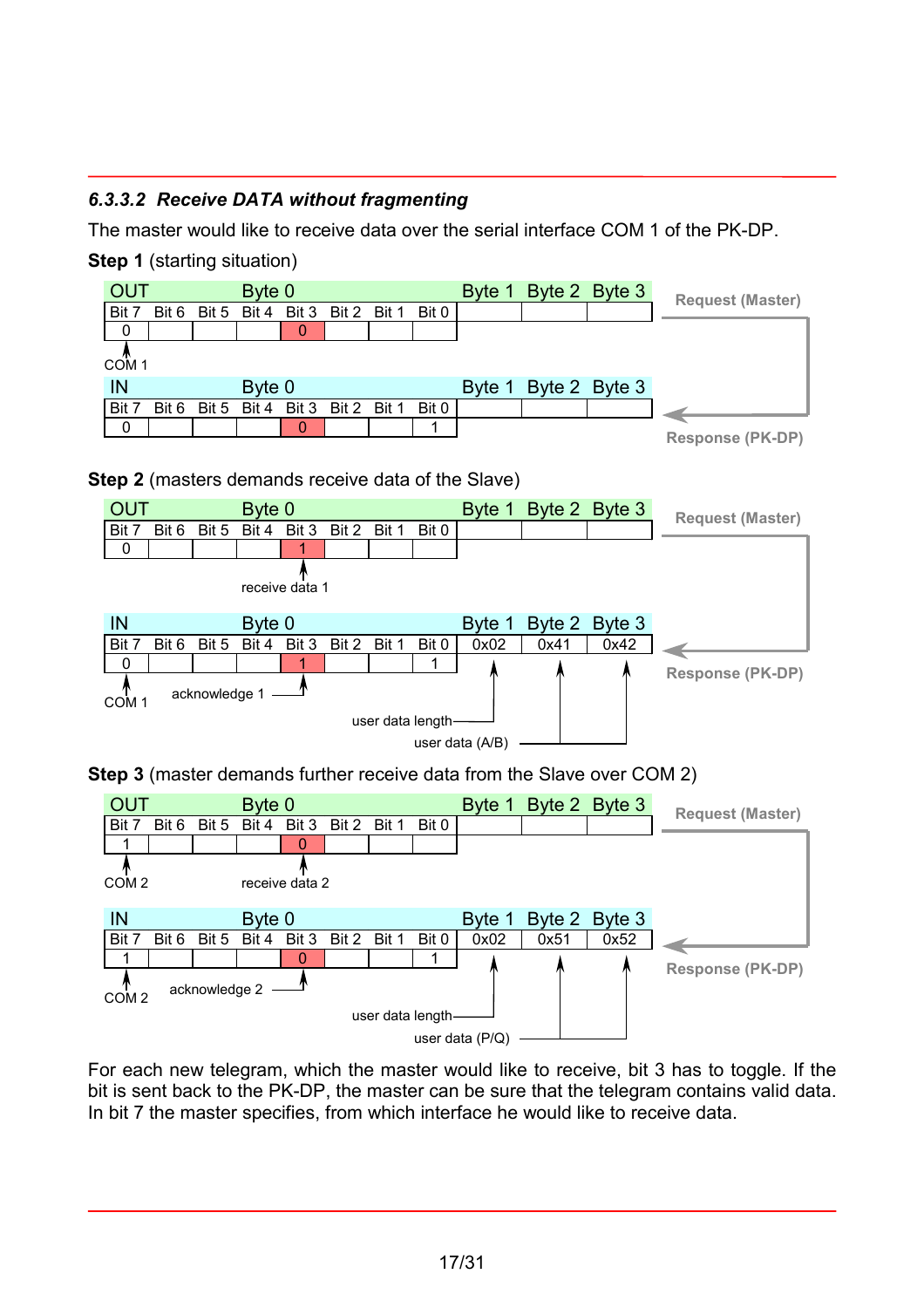#### *6.3.3.2 Receive DATA without fragmenting*

The master would like to receive data over the serial interface COM 1 of the PK-DP.

**Step 1** (starting situation)





For each new telegram, which the master would like to receive, bit 3 has to toggle. If the bit is sent back to the PK-DP, the master can be sure that the telegram contains valid data. In bit 7 the master specifies, from which interface he would like to receive data.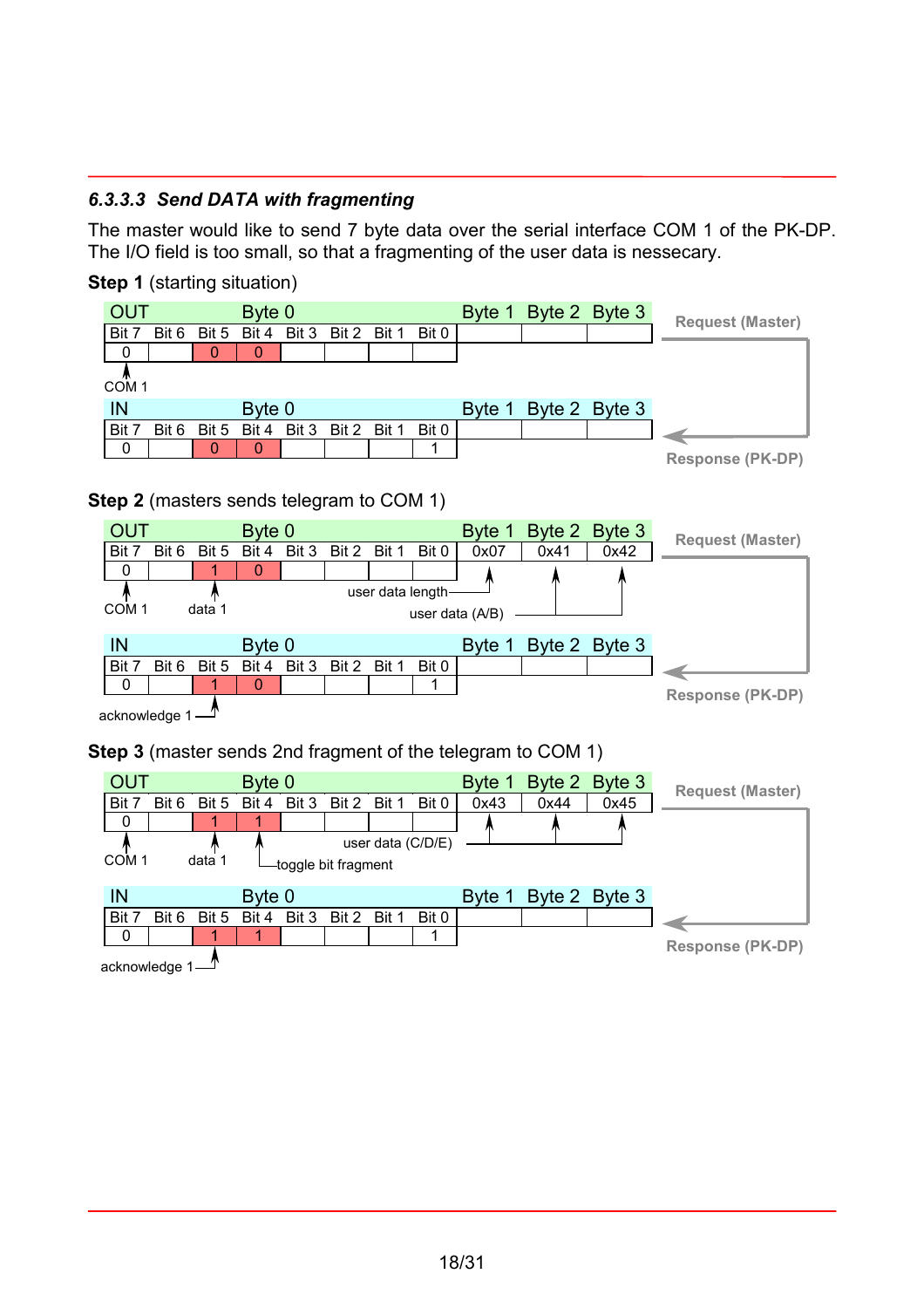#### *6.3.3.3 Send DATA with fragmenting*

The master would like to send 7 byte data over the serial interface COM 1 of the PK-DP. The I/O field is too small, so that a fragmenting of the user data is nessecary.

**Step 1** (starting situation)



#### **Step 2** (masters sends telegram to COM 1)



f acknowledge 1

**Step 3** (master sends 2nd fragment of the telegram to COM 1)



acknowledge 1<sup>-4</sup>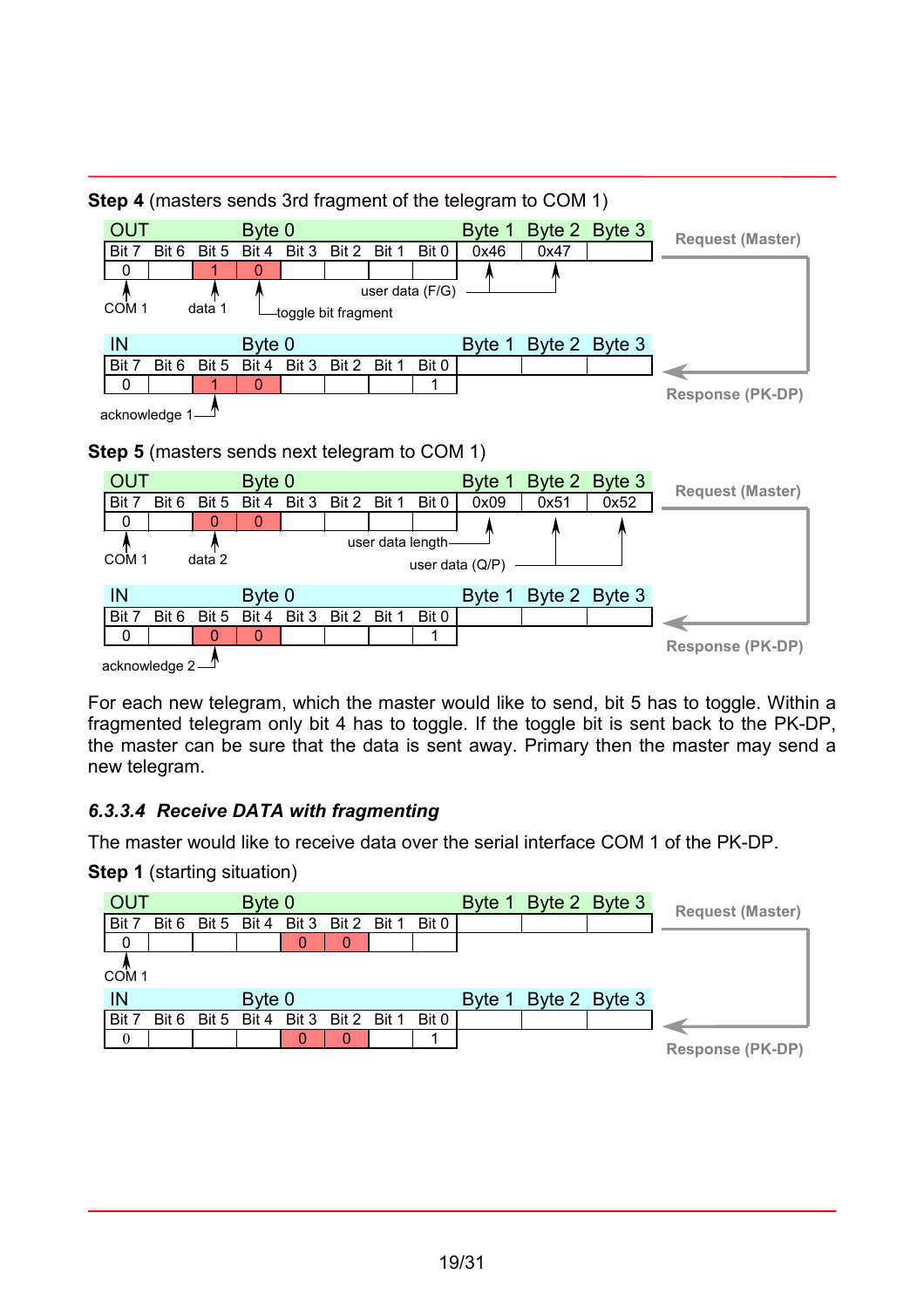

**Step 4** (masters sends 3rd fragment of the telegram to COM 1)

For each new telegram, which the master would like to send, bit 5 has to toggle. Within a fragmented telegram only bit 4 has to toggle. If the toggle bit is sent back to the PK-DP, the master can be sure that the data is sent away. Primary then the master may send a new telegram.

## *6.3.3.4 Receive DATA with fragmenting*

The master would like to receive data over the serial interface COM 1 of the PK-DP.

**Step 1** (starting situation)

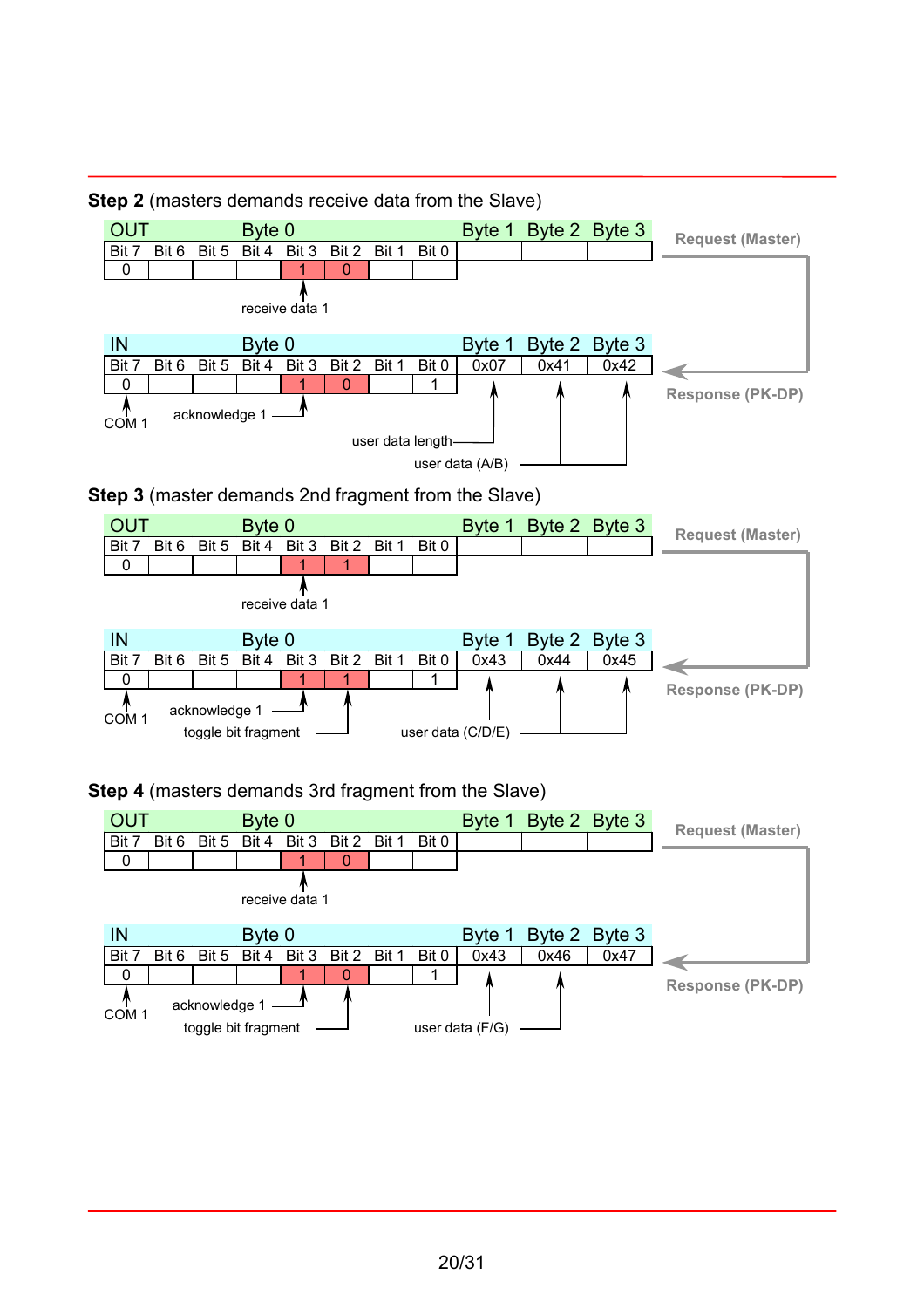

#### **Step 2** (masters demands receive data from the Slave)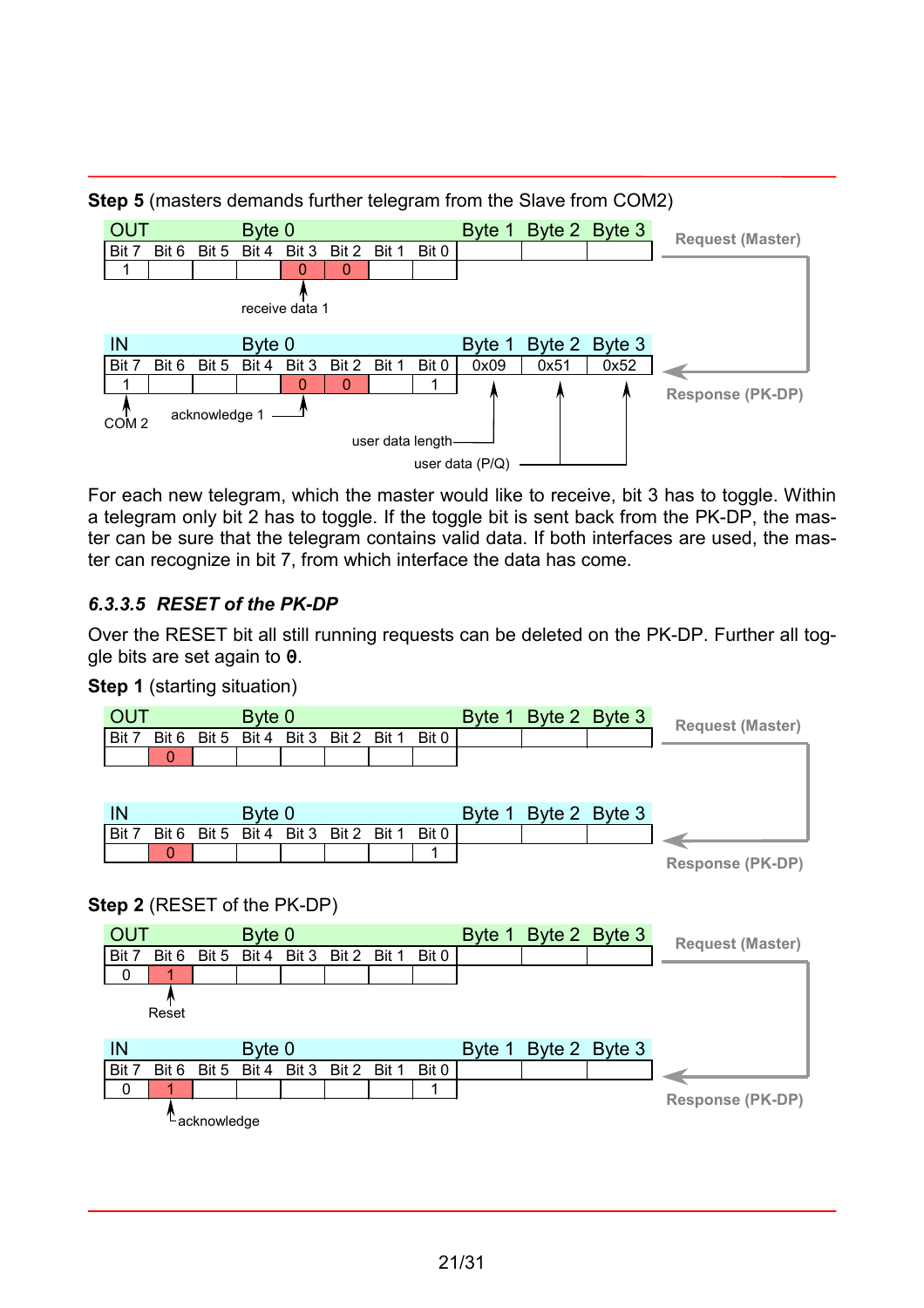

**Step 5** (masters demands further telegram from the Slave from COM2)

For each new telegram, which the master would like to receive, bit 3 has to toggle. Within a telegram only bit 2 has to toggle. If the toggle bit is sent back from the PK-DP, the master can be sure that the telegram contains valid data. If both interfaces are used, the master can recognize in bit 7, from which interface the data has come.

## *6.3.3.5 RESET of the PK-DP*

Over the RESET bit all still running requests can be deleted on the PK-DP. Further all toggle bits are set again to 0.



#### **Step 1** (starting situation)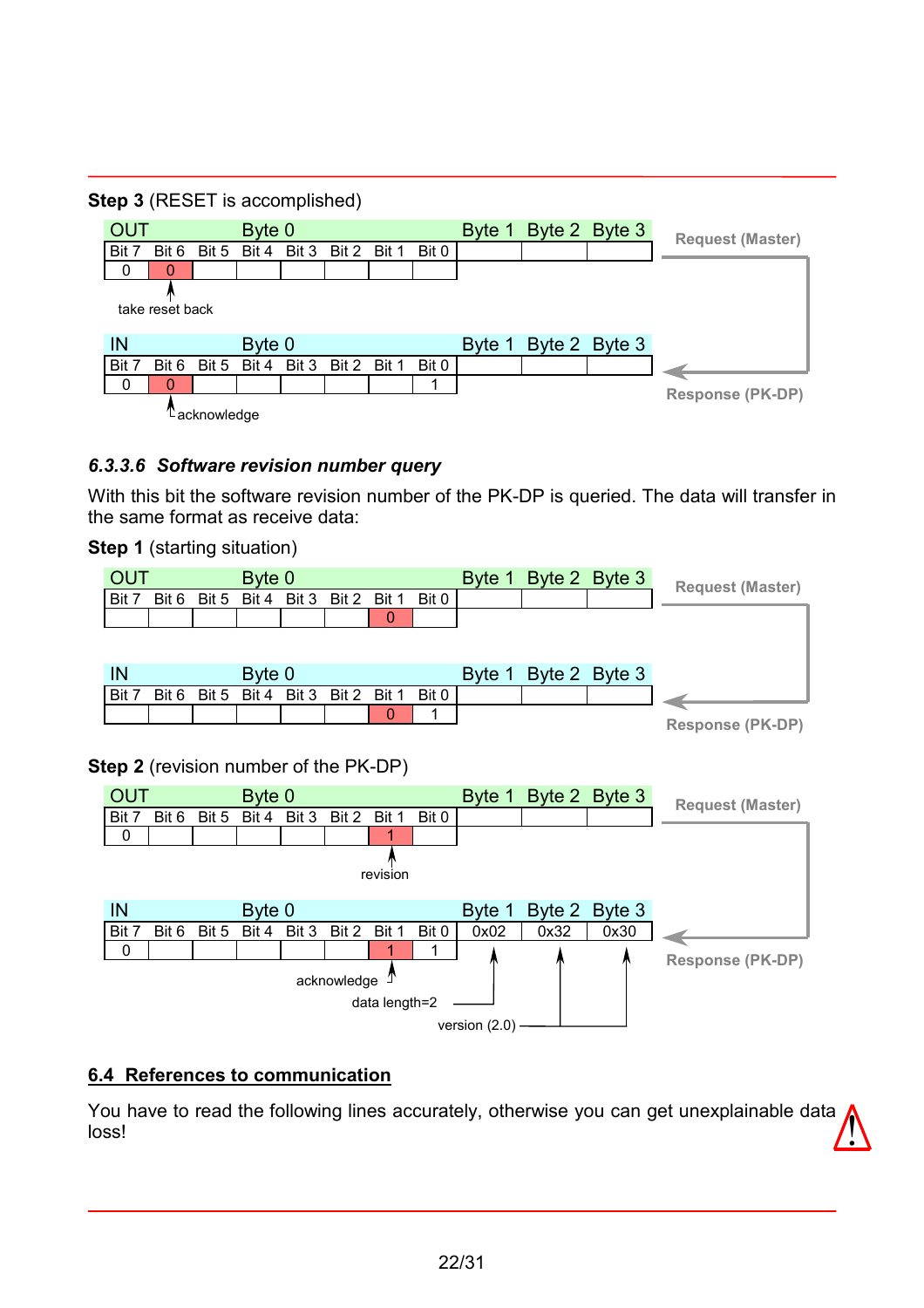#### <span id="page-21-0"></span>**Step 3** (RESET is accomplished)



#### *6.3.3.6 Software revision number query*

With this bit the software revision number of the PK-DP is queried. The data will transfer in the same format as receive data:

#### **Step 1** (starting situation)



#### **Step 2** (revision number of the PK-DP)



#### **6.4 References to communication**

You have to read the following lines accurately, otherwise you can get unexplainable data **1.**<br>loss!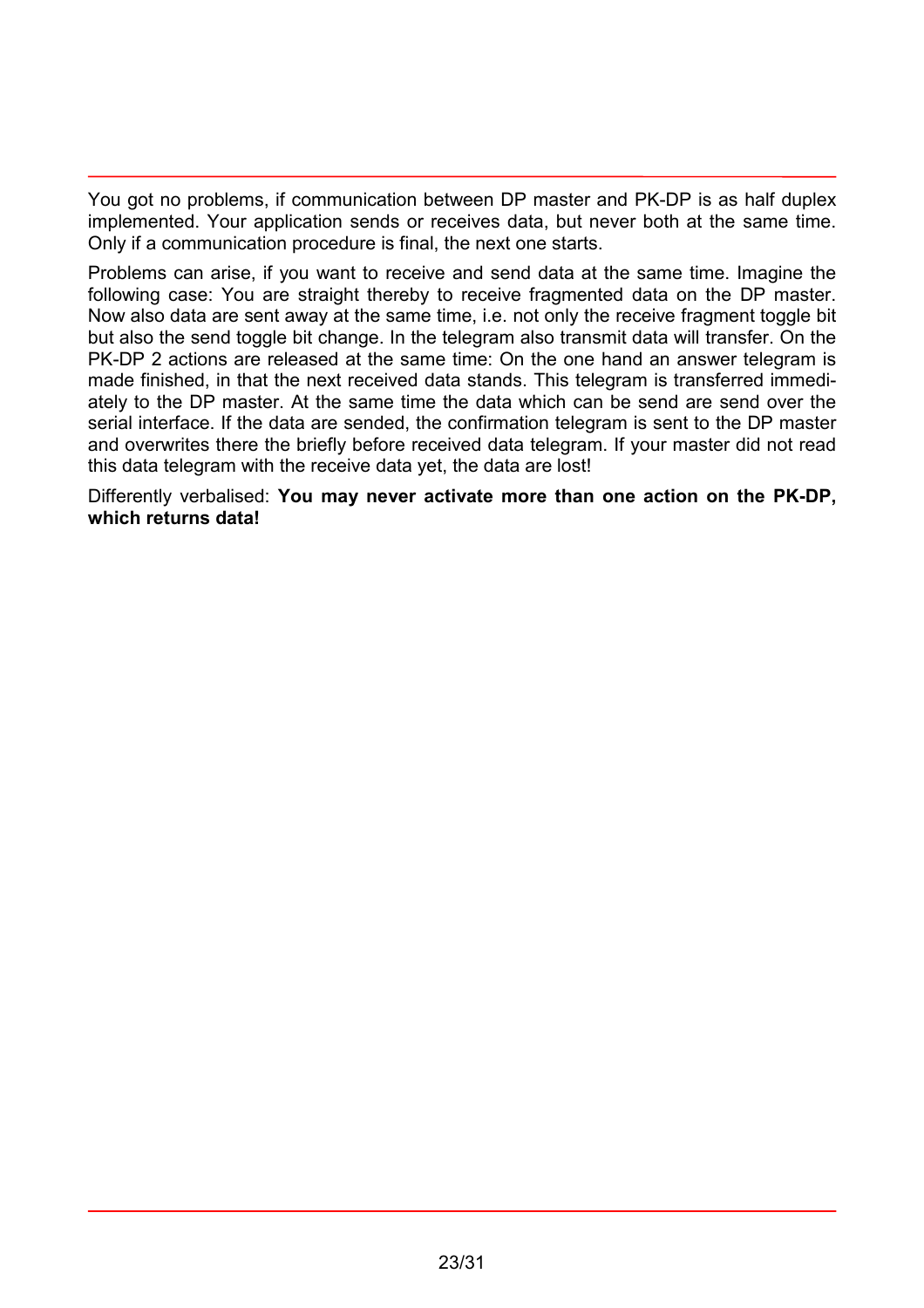You got no problems, if communication between DP master and PK-DP is as half duplex implemented. Your application sends or receives data, but never both at the same time. Only if a communication procedure is final, the next one starts.

Problems can arise, if you want to receive and send data at the same time. Imagine the following case: You are straight thereby to receive fragmented data on the DP master. Now also data are sent away at the same time, i.e. not only the receive fragment toggle bit but also the send toggle bit change. In the telegram also transmit data will transfer. On the PK-DP 2 actions are released at the same time: On the one hand an answer telegram is made finished, in that the next received data stands. This telegram is transferred immediately to the DP master. At the same time the data which can be send are send over the serial interface. If the data are sended, the confirmation telegram is sent to the DP master and overwrites there the briefly before received data telegram. If your master did not read this data telegram with the receive data yet, the data are lost!

Differently verbalised: **You may never activate more than one action on the PK-DP, which returns data!**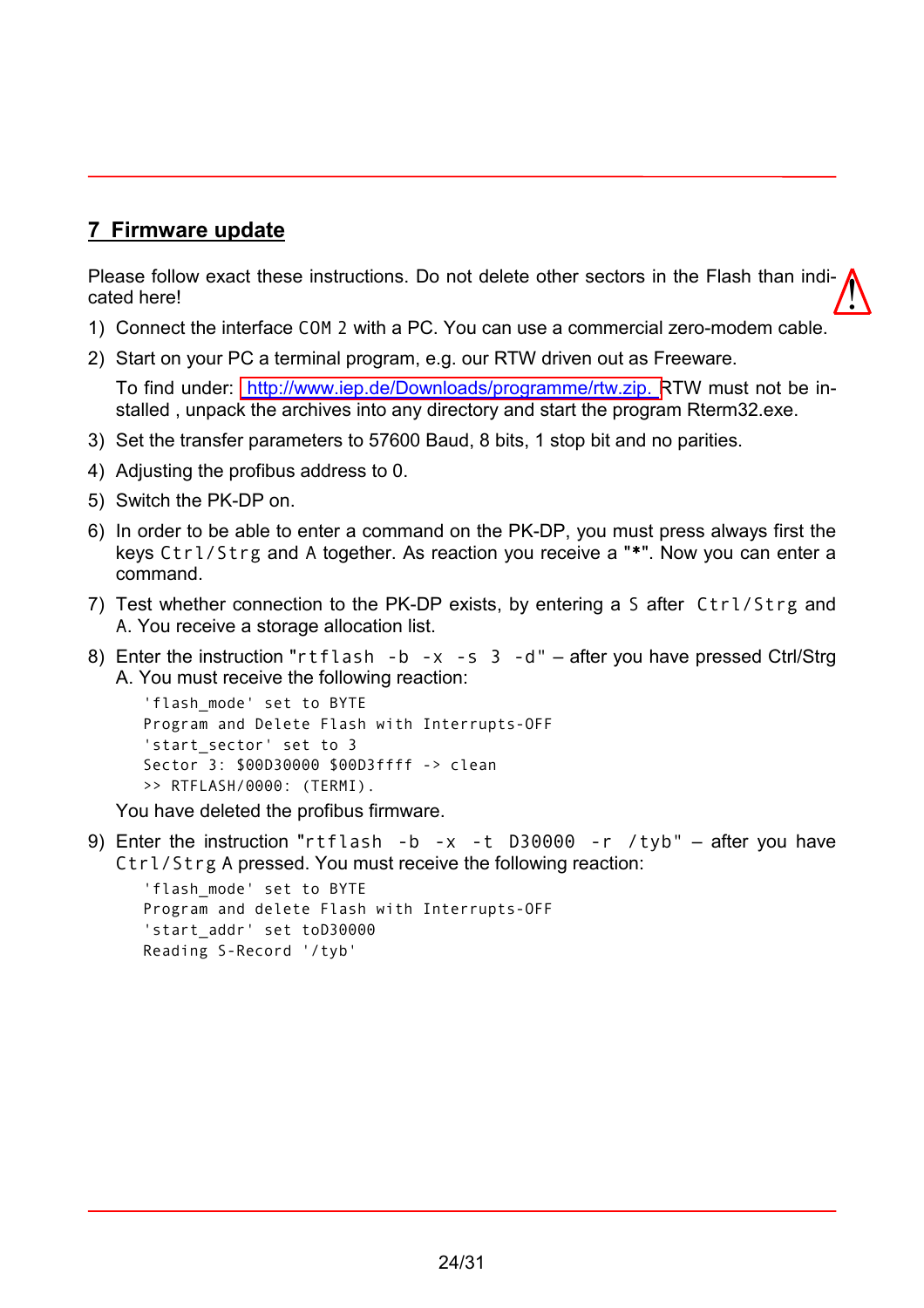## <span id="page-23-0"></span>**7 Firmware update**

Please follow exact these instructions. Do not delete other sectors in the Flash than indicated here!  $\sqrt{\ }$ 

- 1) Connect the interface COM 2 with a PC. You can use a commercial zero-modem cable.
- 2) Start on your PC a terminal program, e.g. our RTW driven out as Freeware.

To find under: [http://www.iep.de/Downloads/programme/rtw.zip. R](http://www.iep.de/Downloads/programme/rtw.zip)TW must not be installed , unpack the archives into any directory and start the program Rterm32.exe.

- 3) Set the transfer parameters to 57600 Baud, 8 bits, 1 stop bit and no parities.
- 4) Adjusting the profibus address to 0.
- 5) Switch the PK-DP on.
- 6) In order to be able to enter a command on the PK-DP, you must press always first the keys Ctrl/Strg and A together. As reaction you receive a "\*". Now you can enter a command.
- 7) Test whether connection to the PK-DP exists, by entering a S after Ctrl/Strg and A. You receive a storage allocation list.
- 8) Enter the instruction "rtflash -b -x -s 3 -d" after you have pressed Ctrl/Strg A. You must receive the following reaction:

```
'flash_mode' set to BYTE
Program and Delete Flash with Interrupts-OFF
'start_sector' set to 3
Sector 3: $00D30000 $00D3ffff -> clean
>> RTFLASH/0000: (TERMI).
```
You have deleted the profibus firmware.

9) Enter the instruction "rtflash -b -x -t D30000 -r /tyb"  $-$  after you have Ctrl/Strg A pressed. You must receive the following reaction:

```
'flash_mode' set to BYTE
Program and delete Flash with Interrupts-OFF
'start addr' set toD30000
Reading S-Record '/tyb'
```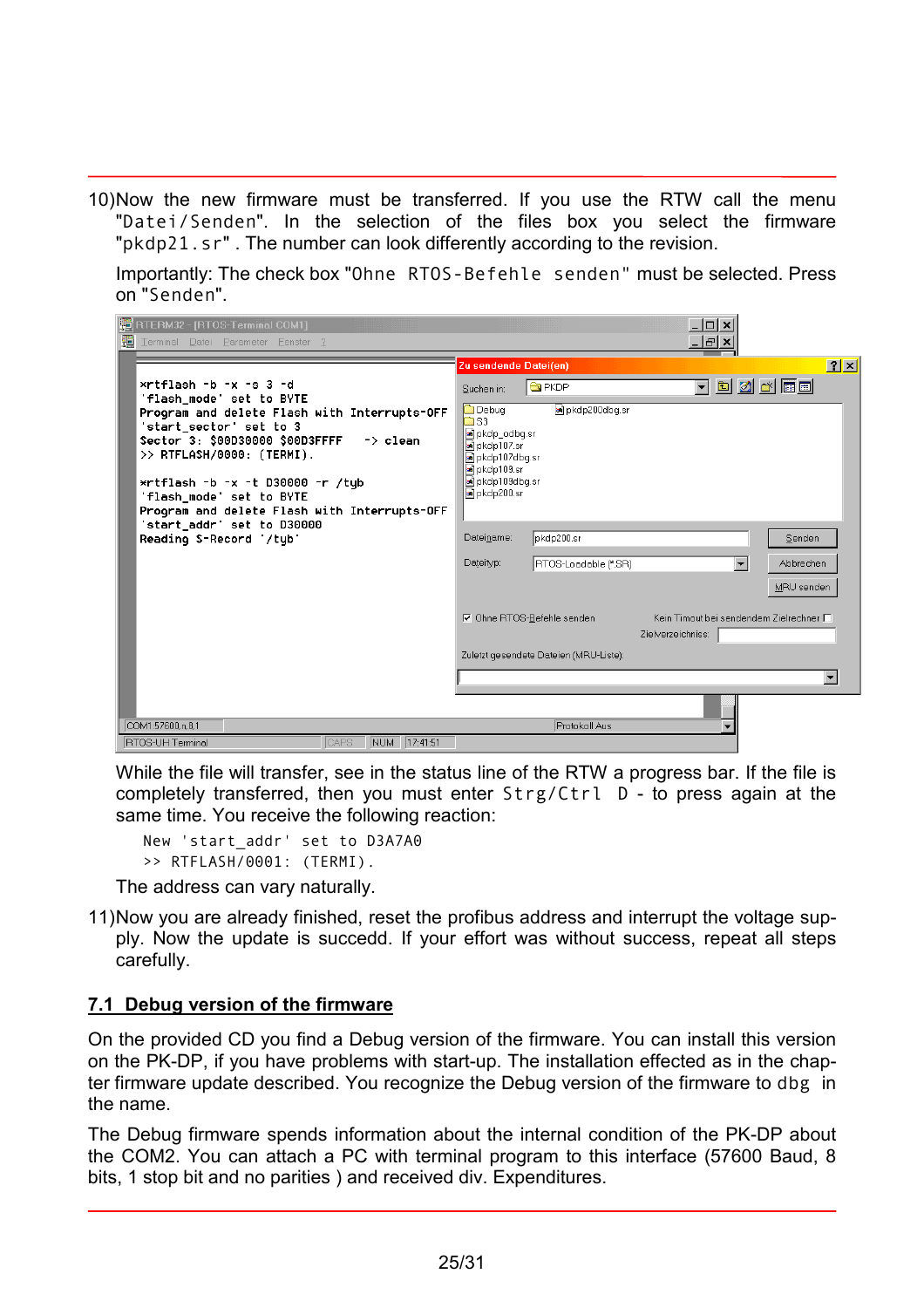<span id="page-24-0"></span>10) Now the new firmware must be transferred. If you use the RTW call the menu "Datei/Senden". In the selection of the files box you select the firmware "pkdp21.sr" . The number can look differently according to the revision.

Importantly: The check box "Ohne RTOS-Befehle senden" must be selected. Press on "Senden".

| <b>PE</b> RTERM32 - [RTOS-Terminal COM1]                                                                                                                                                                                                                                                                       |                                                                                                                                  |                                        | $ \Box$ $\times$                                             |                          |
|----------------------------------------------------------------------------------------------------------------------------------------------------------------------------------------------------------------------------------------------------------------------------------------------------------------|----------------------------------------------------------------------------------------------------------------------------------|----------------------------------------|--------------------------------------------------------------|--------------------------|
| Æ<br>Terminal Datei Parameter Fenster ?                                                                                                                                                                                                                                                                        |                                                                                                                                  |                                        | <u>_   레 ×</u>                                               |                          |
|                                                                                                                                                                                                                                                                                                                | Zu sendende Datei(en)                                                                                                            |                                        |                                                              | $ ?  \times  $           |
| $*$ rtflash $-b - x - s$ 3 $-d$<br>'flash_mode' set to BYTE                                                                                                                                                                                                                                                    | Suchen in:                                                                                                                       | <b>G</b> PKDP                          |                                                              | <u>teeks t</u>           |
| Program and delete Flash with Interrupts-OFF<br>'start_sector' set to 3<br>Sector 3: $$00D30000$ $$00D3FFFF$ -> clean<br>$\rightarrow$ RTFLASH/0000: (TERMI).<br>$*$ rtflash -b -x -t D30000 -r /tub<br>'flash mode' set to BYTE<br>Program and delete Flash with Interrupts-OFF<br>'start_addr' set to D30000 | <b>Debug</b><br>mas s<br>a pkdp_odbq.sr<br>an pkdp107.sr<br>a pkdp107dbq.sr<br>an pkdp109.sr<br>a pkdp109dbq.sr<br>an pkdp200.sr | a pkdp200dbq.sr                        |                                                              |                          |
| Reading S-Record '/tub'                                                                                                                                                                                                                                                                                        | Dateiname:                                                                                                                       | pkdp200.sr                             |                                                              | Senden                   |
|                                                                                                                                                                                                                                                                                                                | Dateityp:                                                                                                                        | RTOS-Loadable (*.SR)                   | $\overline{\phantom{0}}$                                     | Abbrechen                |
|                                                                                                                                                                                                                                                                                                                |                                                                                                                                  |                                        |                                                              | MRU senden               |
|                                                                                                                                                                                                                                                                                                                |                                                                                                                                  | <b>▽</b> Ohne RTOS-Befehle senden      | Kein Timout bei sendendem Zielrechner □<br>Zielverzeichniss: |                          |
|                                                                                                                                                                                                                                                                                                                |                                                                                                                                  | Zuletzt gesendete Dateien (MRU-Liste): |                                                              |                          |
|                                                                                                                                                                                                                                                                                                                |                                                                                                                                  |                                        |                                                              | $\overline{\phantom{a}}$ |
|                                                                                                                                                                                                                                                                                                                |                                                                                                                                  |                                        |                                                              |                          |
| COM1:57600.n.8.1                                                                                                                                                                                                                                                                                               |                                                                                                                                  | Protokoll Aus                          |                                                              |                          |
| NUM 17:41:51<br><b>RTOS-UH Terminal</b><br>CAPS                                                                                                                                                                                                                                                                |                                                                                                                                  |                                        |                                                              |                          |

While the file will transfer, see in the status line of the RTW a progress bar. If the file is completely transferred, then you must enter Strg/Ctrl D - to press again at the same time. You receive the following reaction:

New 'start\_addr' set to D3A7A0 >> RTFLASH/0001: (TERMI).

The address can vary naturally.

11) Now you are already finished, reset the profibus address and interrupt the voltage supply. Now the update is succedd. If your effort was without success, repeat all steps carefully.

#### **7.1 Debug version of the firmware**

On the provided CD you find a Debug version of the firmware. You can install this version on the PK-DP, if you have problems with start-up. The installation effected as in the chapter firmware update described. You recognize the Debug version of the firmware to dbg in the name.

The Debug firmware spends information about the internal condition of the PK-DP about the COM2. You can attach a PC with terminal program to this interface (57600 Baud, 8 bits, 1 stop bit and no parities ) and received div. Expenditures.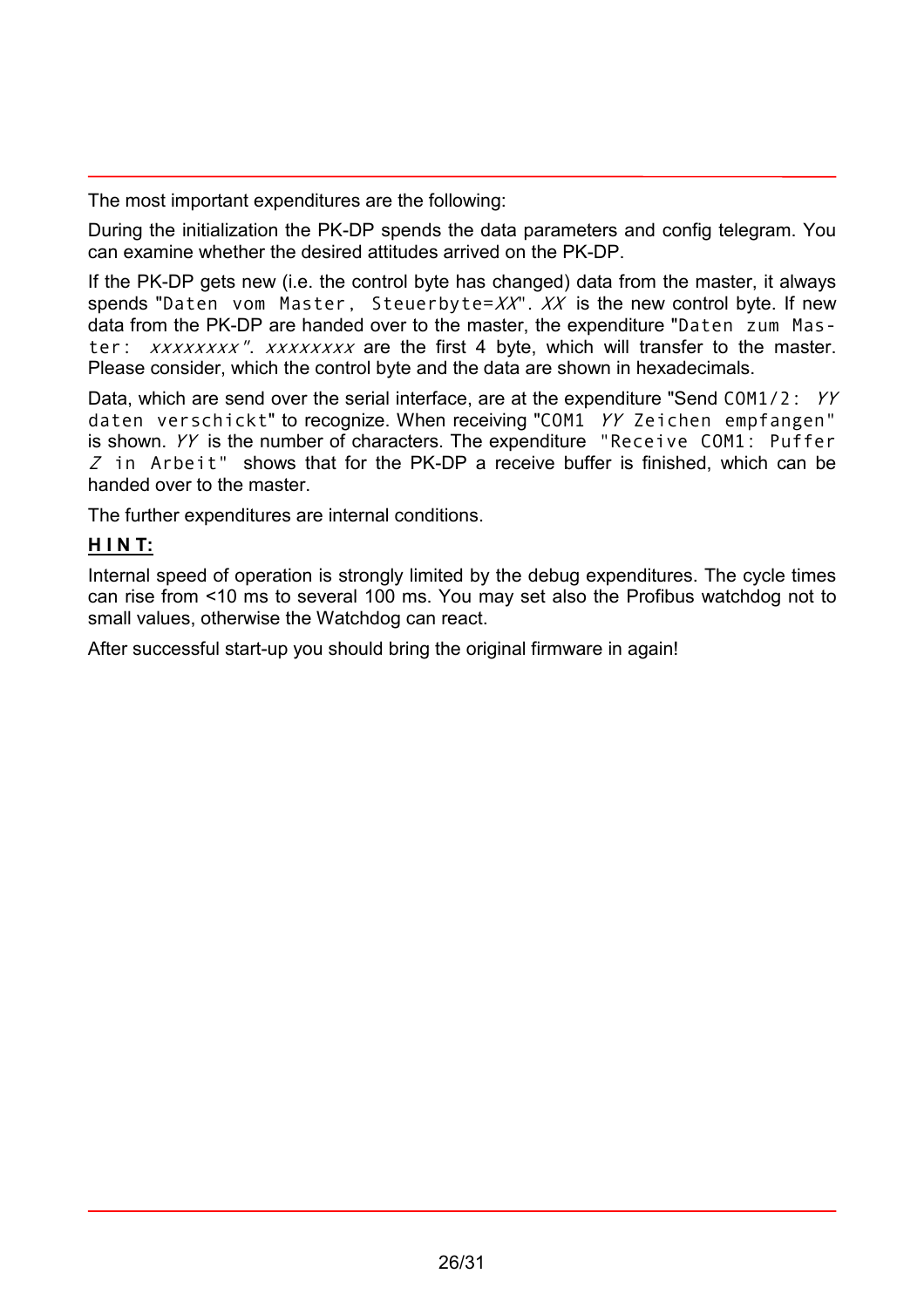The most important expenditures are the following:

During the initialization the PK-DP spends the data parameters and config telegram. You can examine whether the desired attitudes arrived on the PK-DP.

If the PK-DP gets new (i.e. the control byte has changed) data from the master, it always spends "Daten vom Master, Steuerbyte= $XX''$ .  $XX'$  is the new control byte. If new data from the PK-DP are handed over to the master, the expenditure "Daten zum Master: xxxxxxxx". xxxxxxxx are the first 4 byte, which will transfer to the master. Please consider, which the control byte and the data are shown in hexadecimals.

Data, which are send over the serial interface, are at the expenditure "Send COM1/2: YY daten verschickt" to recognize. When receiving "COM1 YY Zeichen empfangen" is shown. YY is the number of characters. The expenditure "Receive COM1: Puffer  $Z$  in Arbeit" shows that for the PK-DP a receive buffer is finished, which can be handed over to the master.

The further expenditures are internal conditions.

## **H I N T:**

Internal speed of operation is strongly limited by the debug expenditures. The cycle times can rise from <10 ms to several 100 ms. You may set also the Profibus watchdog not to small values, otherwise the Watchdog can react.

After successful start-up you should bring the original firmware in again!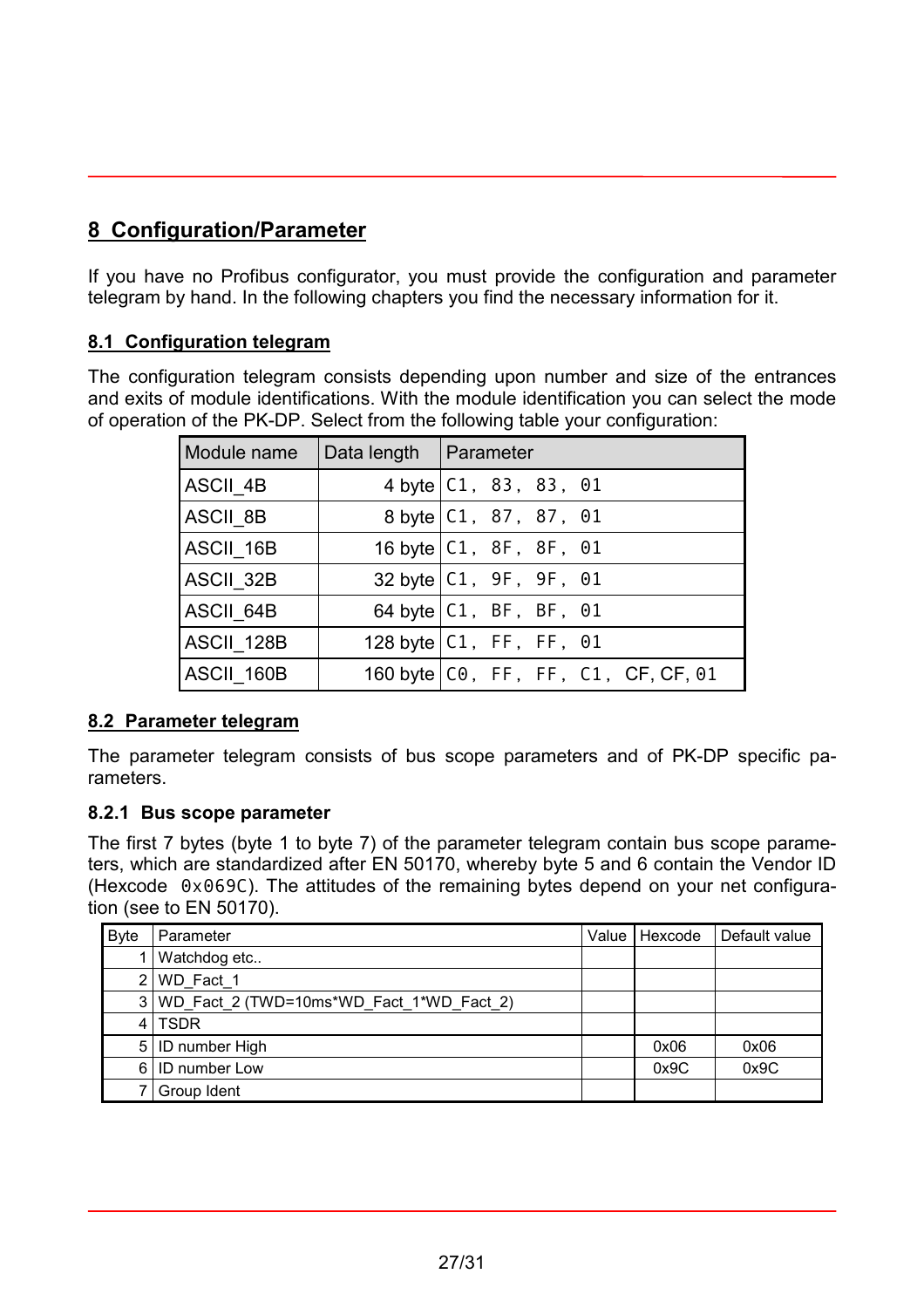# <span id="page-26-0"></span>**8 Configuration/Parameter**

If you have no Profibus configurator, you must provide the configuration and parameter telegram by hand. In the following chapters you find the necessary information for it.

#### **8.1 Configuration telegram**

The configuration telegram consists depending upon number and size of the entrances and exits of module identifications. With the module identification you can select the mode of operation of the PK-DP. Select from the following table your configuration:

| Module name     | Data length   Parameter |                                       |
|-----------------|-------------------------|---------------------------------------|
| <b>ASCII 4B</b> |                         | 4 byte   C1, 83, 83, 01               |
| ASCII_8B        |                         | 8 byte   C1, 87, 87, 01               |
| ASCII 16B       |                         | 16 byte $ C1, 8F, 8F, 01$             |
| ASCII 32B       |                         | 32 byte   C1, 9F, 9F, 01              |
| ASCII_64B       |                         | 64 byte $ C1, BF, BF, 01$             |
| ASCII 128B      |                         | 128 byte $ C1, FF, FF, 01$            |
| ASCII_160B      |                         | 160 byte   CO, FF, FF, C1, CF, CF, 01 |

#### **8.2 Parameter telegram**

The parameter telegram consists of bus scope parameters and of PK-DP specific parameters.

#### **8.2.1 Bus scope parameter**

The first 7 bytes (byte 1 to byte 7) of the parameter telegram contain bus scope parameters, which are standardized after EN 50170, whereby byte 5 and 6 contain the Vendor ID (Hexcode 0x069C). The attitudes of the remaining bytes depend on your net configuration (see to EN 50170).

| <b>Byte</b> | Parameter                                    | Value   Hexcode | Default value |
|-------------|----------------------------------------------|-----------------|---------------|
|             | Watchdog etc                                 |                 |               |
| ا 2         | WD_Fact_1                                    |                 |               |
|             | $3 WD$ Fact 2 (TWD=10ms*WD Fact 1*WD Fact 2) |                 |               |
|             | 4 TSDR                                       |                 |               |
|             | 5   ID number High                           | 0x06            | 0x06          |
| 6 I         | ID number Low                                | 0x9C            | 0x9C          |
|             | Group Ident                                  |                 |               |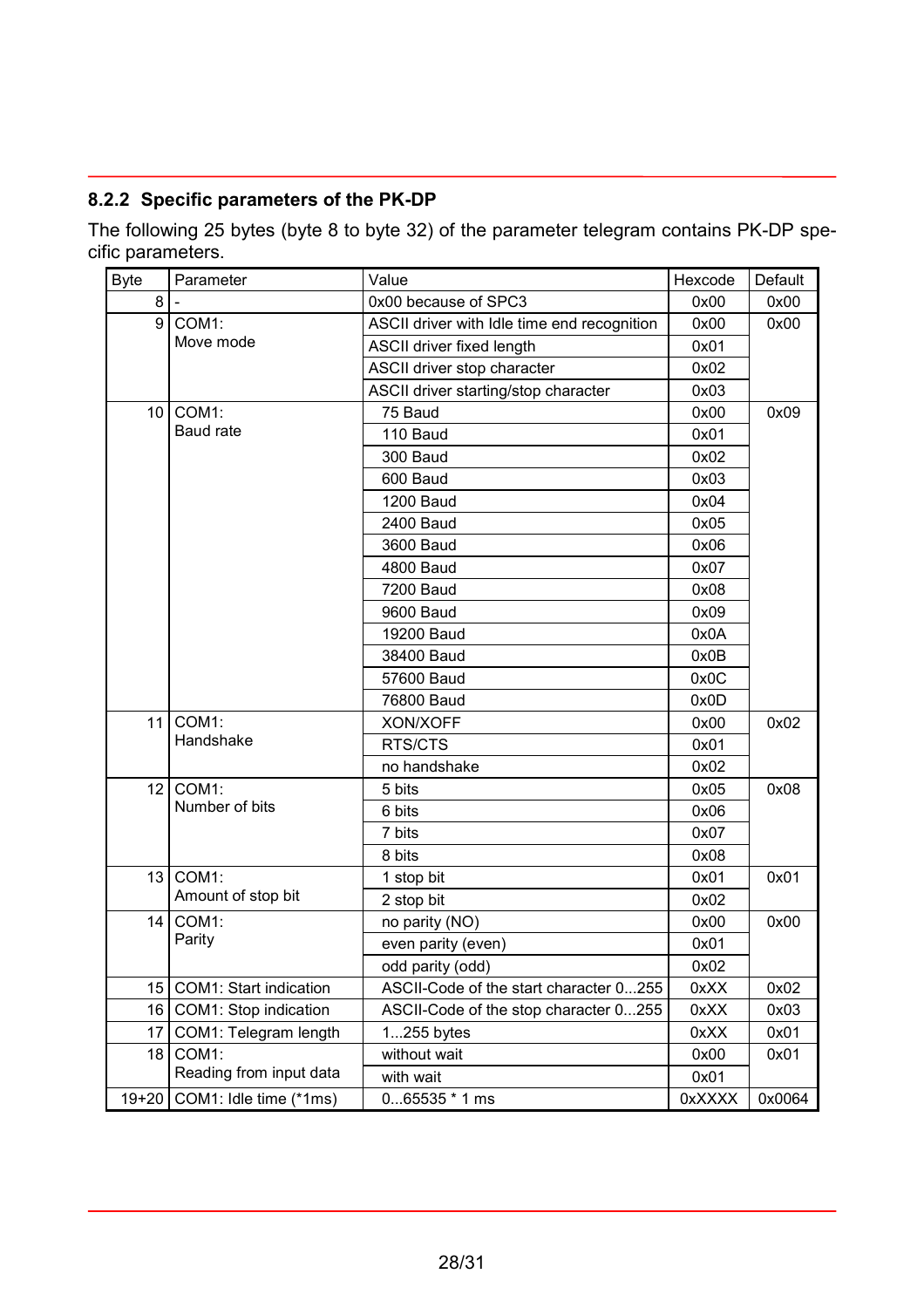## <span id="page-27-0"></span>**8.2.2 Specific parameters of the PK-DP**

The following 25 bytes (byte 8 to byte 32) of the parameter telegram contains PK-DP specific parameters.

| <b>Byte</b>     | Parameter               | Value                                       | Hexcode | Default |  |
|-----------------|-------------------------|---------------------------------------------|---------|---------|--|
| 8               |                         | 0x00 because of SPC3                        | 0x00    | 0x00    |  |
| 9               | COM1:                   | ASCII driver with Idle time end recognition | 0x00    | 0x00    |  |
|                 | Move mode               | <b>ASCII driver fixed length</b>            | 0x01    |         |  |
|                 |                         | ASCII driver stop character                 | 0x02    |         |  |
|                 |                         | ASCII driver starting/stop character        | 0x03    |         |  |
| 10              | COM1:                   | 75 Baud                                     | 0x00    | 0x09    |  |
|                 | Baud rate               | 110 Baud                                    | 0x01    |         |  |
|                 |                         | 300 Baud                                    | 0x02    |         |  |
|                 |                         | 600 Baud                                    | 0x03    |         |  |
|                 |                         | <b>1200 Baud</b>                            | 0x04    |         |  |
|                 |                         | 2400 Baud                                   | 0x05    |         |  |
|                 |                         | 3600 Baud                                   | 0x06    |         |  |
|                 |                         | 4800 Baud                                   | 0x07    |         |  |
|                 |                         | 7200 Baud                                   | 0x08    |         |  |
|                 |                         | 9600 Baud                                   | 0x09    |         |  |
|                 |                         | 19200 Baud                                  | 0x0A    |         |  |
|                 |                         | 38400 Baud                                  | 0x0B    |         |  |
|                 |                         | 57600 Baud                                  | 0x0C    |         |  |
|                 |                         | 76800 Baud                                  | 0x0D    |         |  |
| 11              | COM1:<br>Handshake      | XON/XOFF                                    | 0x00    | 0x02    |  |
|                 |                         | RTS/CTS                                     | 0x01    |         |  |
|                 |                         | no handshake                                | 0x02    |         |  |
| 12 <sub>1</sub> | COM1:                   | 5 bits                                      | 0x05    | 0x08    |  |
|                 | Number of bits          | 6 bits                                      | 0x06    |         |  |
|                 |                         | 7 bits                                      | 0x07    |         |  |
|                 |                         | 8 bits                                      | 0x08    |         |  |
| 13              | COM1:                   | 1 stop bit                                  | 0x01    | 0x01    |  |
|                 | Amount of stop bit      | 2 stop bit                                  | 0x02    |         |  |
| 14              | COM1:                   | no parity (NO)                              | 0x00    | 0x00    |  |
|                 | Parity                  | even parity (even)                          | 0x01    |         |  |
|                 |                         | odd parity (odd)                            | 0x02    |         |  |
| 15              | COM1: Start indication  | ASCII-Code of the start character 0255      | 0xXX    | 0x02    |  |
| 16              | COM1: Stop indication   | ASCII-Code of the stop character 0255       | 0xXX    | 0x03    |  |
| 17              | COM1: Telegram length   | $1255$ bytes                                | 0xXX    | 0x01    |  |
| 18              | COM1:                   | without wait                                | 0x00    | 0x01    |  |
|                 | Reading from input data | with wait                                   | 0x01    |         |  |
| $19 + 20$       | COM1: Idle time (*1ms)  | $065535 * 1 ms$                             | 0xXXXX  | 0x0064  |  |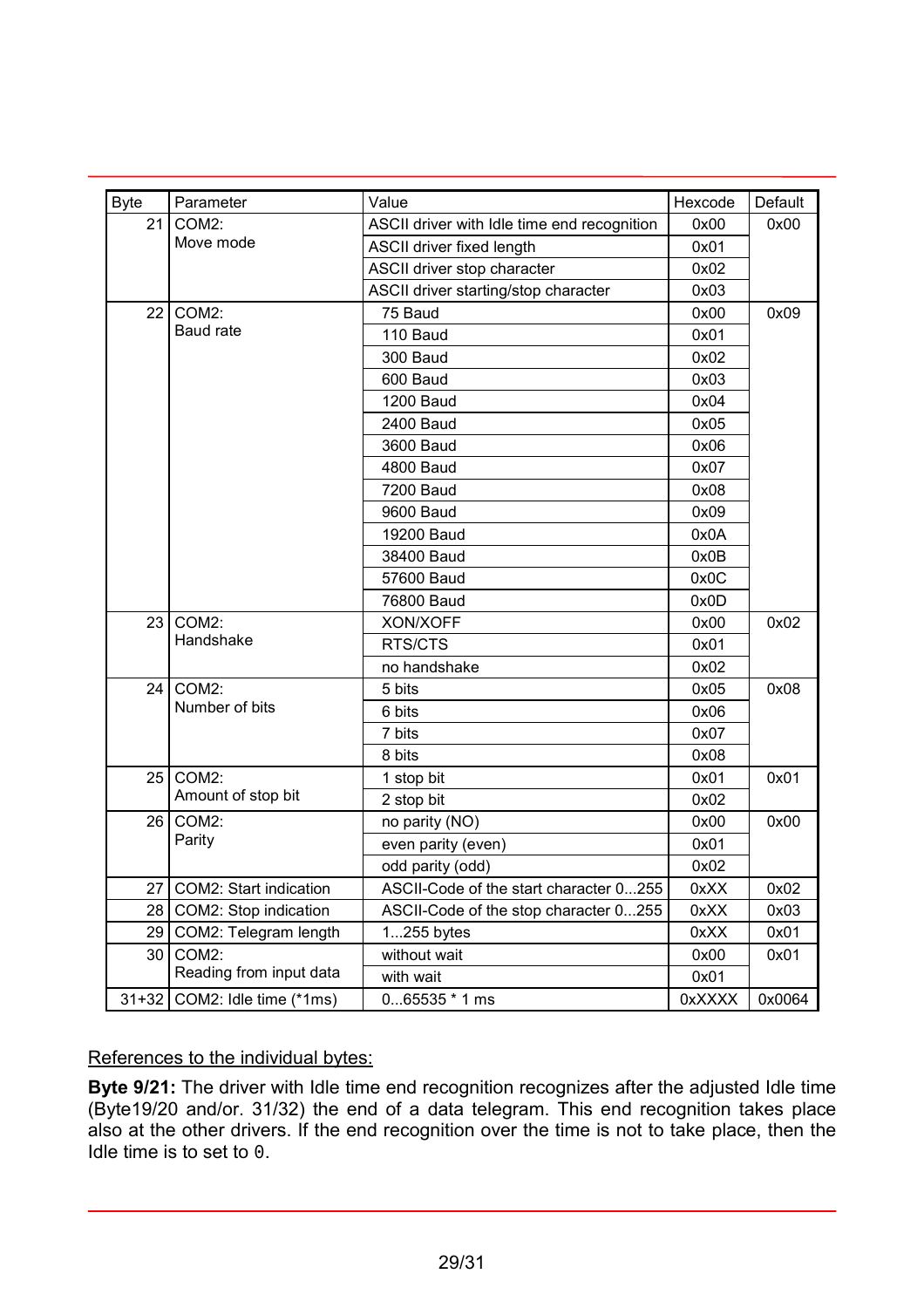| <b>Byte</b>     | Parameter               | Value                                       | Hexcode | Default |  |
|-----------------|-------------------------|---------------------------------------------|---------|---------|--|
| 21              | COM2:                   | ASCII driver with Idle time end recognition | 0x00    | 0x00    |  |
|                 | Move mode               | ASCII driver fixed length                   | 0x01    |         |  |
|                 |                         | ASCII driver stop character                 | 0x02    |         |  |
|                 |                         | ASCII driver starting/stop character        | 0x03    |         |  |
| 22              | COM2:                   | 75 Baud                                     | 0x00    | 0x09    |  |
|                 | <b>Baud rate</b>        | 110 Baud                                    | 0x01    |         |  |
|                 |                         | 300 Baud                                    | 0x02    |         |  |
|                 |                         | 600 Baud                                    | 0x03    |         |  |
|                 |                         | <b>1200 Baud</b>                            | 0x04    |         |  |
|                 |                         | 2400 Baud                                   | 0x05    |         |  |
|                 |                         | 3600 Baud                                   | 0x06    |         |  |
|                 |                         | <b>4800 Baud</b>                            | 0x07    |         |  |
|                 |                         | 7200 Baud                                   | 0x08    |         |  |
|                 |                         | 9600 Baud                                   | 0x09    |         |  |
|                 |                         | 19200 Baud                                  | 0x0A    |         |  |
|                 |                         | 38400 Baud                                  | 0x0B    |         |  |
|                 |                         | 57600 Baud                                  | 0x0C    |         |  |
|                 |                         | 76800 Baud                                  | 0x0D    |         |  |
| 23              | COM2:                   | XON/XOFF                                    | 0x00    | 0x02    |  |
|                 | Handshake               | RTS/CTS                                     | 0x01    |         |  |
|                 |                         | no handshake                                | 0x02    |         |  |
| 24              | COM2:                   | 5 bits                                      | 0x05    | 0x08    |  |
|                 | Number of bits          | 6 bits                                      | 0x06    |         |  |
|                 |                         | 7 bits                                      | 0x07    |         |  |
|                 |                         | 8 bits                                      | 0x08    |         |  |
| 25              | COM2:                   | 1 stop bit                                  | 0x01    | 0x01    |  |
|                 | Amount of stop bit      | 2 stop bit                                  | 0x02    |         |  |
| 26              | COM2:                   | no parity (NO)                              | 0x00    | 0x00    |  |
|                 | Parity                  | even parity (even)                          | 0x01    |         |  |
|                 |                         | odd parity (odd)                            | 0x02    |         |  |
| 27 <sup>1</sup> | COM2: Start indication  | ASCII-Code of the start character 0255      | 0xXX    | 0x02    |  |
| 28              | COM2: Stop indication   | ASCII-Code of the stop character 0255       | 0xXX    | 0x03    |  |
| 29              | COM2: Telegram length   | 1255 bytes                                  | 0xXX    | 0x01    |  |
| 30              | COM2:                   | without wait                                | 0x00    | 0x01    |  |
|                 | Reading from input data | with wait                                   | 0x01    |         |  |
| $31 + 32$       | COM2: Idle time (*1ms)  | $065535 * 1 ms$                             | 0xXXXX  | 0x0064  |  |

#### References to the individual bytes:

**Byte 9/21:** The driver with Idle time end recognition recognizes after the adjusted Idle time (Byte19/20 and/or. 31/32) the end of a data telegram. This end recognition takes place also at the other drivers. If the end recognition over the time is not to take place, then the Idle time is to set to 0.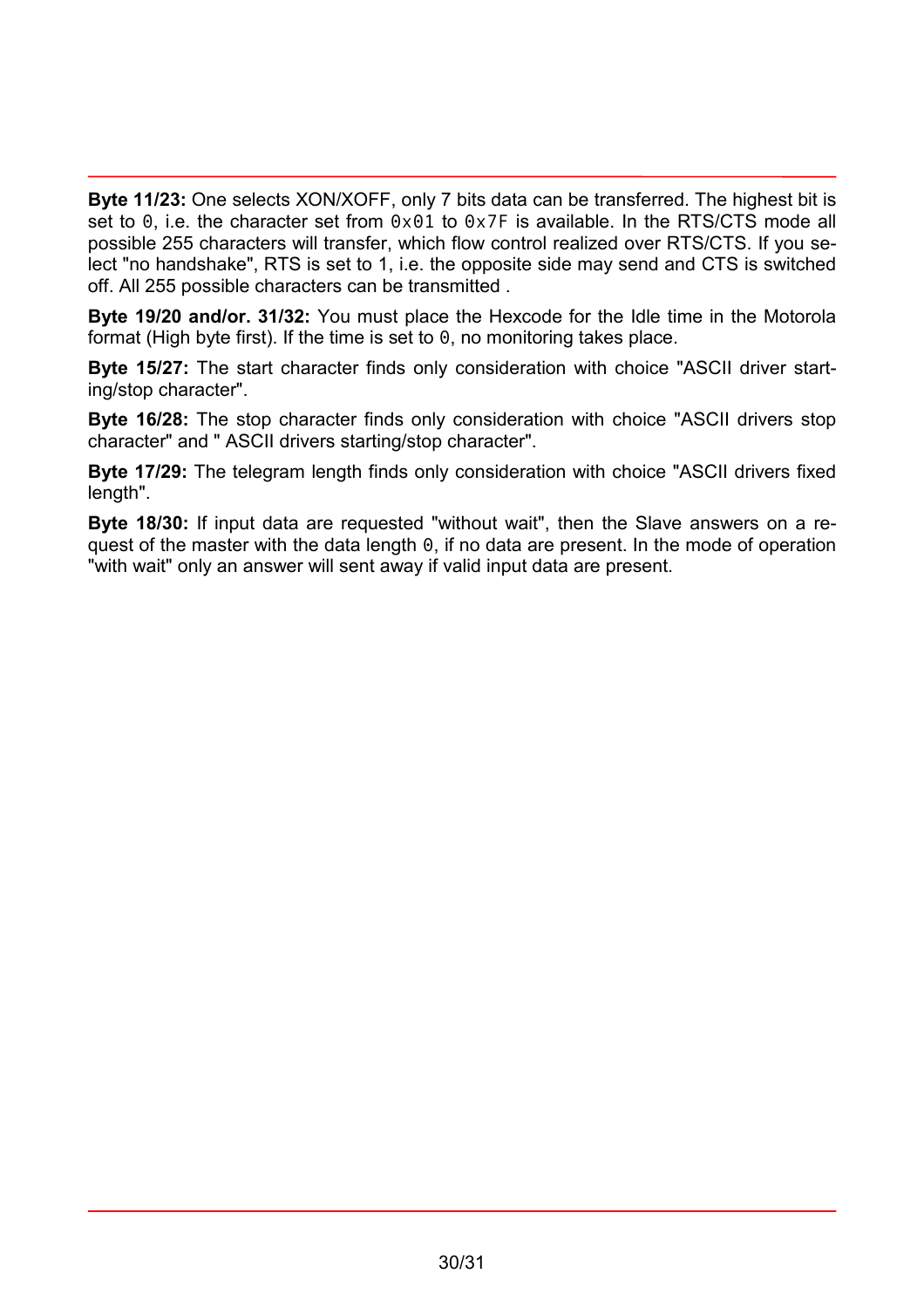**Byte 11/23:** One selects XON/XOFF, only 7 bits data can be transferred. The highest bit is set to 0, i.e. the character set from  $0 \times 01$  to  $0 \times 7$ F is available. In the RTS/CTS mode all possible 255 characters will transfer, which flow control realized over RTS/CTS. If you select "no handshake", RTS is set to 1, i.e. the opposite side may send and CTS is switched off. All 255 possible characters can be transmitted .

**Byte 19/20 and/or. 31/32:** You must place the Hexcode for the Idle time in the Motorola format (High byte first). If the time is set to 0, no monitoring takes place.

**Byte 15/27:** The start character finds only consideration with choice "ASCII driver starting/stop character".

**Byte 16/28:** The stop character finds only consideration with choice "ASCII drivers stop character" and " ASCII drivers starting/stop character".

**Byte 17/29:** The telegram length finds only consideration with choice "ASCII drivers fixed length".

**Byte 18/30:** If input data are requested "without wait", then the Slave answers on a request of the master with the data length 0, if no data are present. In the mode of operation "with wait" only an answer will sent away if valid input data are present.